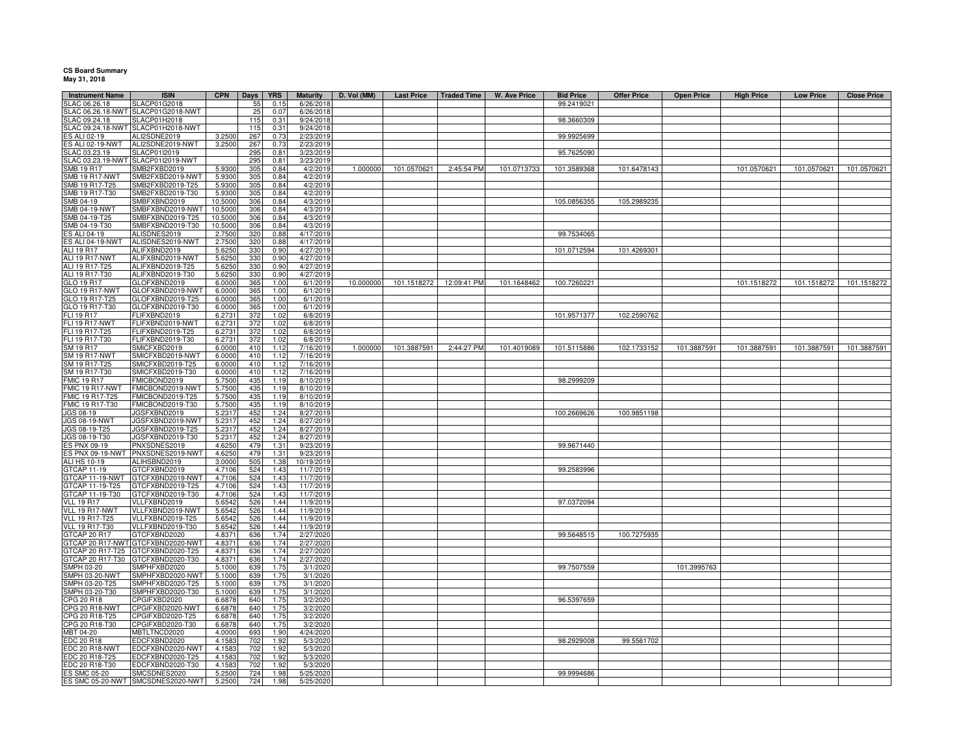## **CS Board Summary May 31, 2018**

|                                         |                                      | <b>CPN</b>        |            |                    |                              | D. Vol (MM) |                   |                    |                     |                                |                    |                   |                   |                  |                    |
|-----------------------------------------|--------------------------------------|-------------------|------------|--------------------|------------------------------|-------------|-------------------|--------------------|---------------------|--------------------------------|--------------------|-------------------|-------------------|------------------|--------------------|
| <b>Instrument Name</b><br>SLAC 06.26.18 | <b>ISIN</b><br><b>SLACP01G2018</b>   |                   | Days<br>55 | <b>YRS</b><br>0.15 | <b>Maturity</b><br>6/26/2018 |             | <b>Last Price</b> | <b>Traded Time</b> | <b>W. Ave Price</b> | <b>Bid Price</b><br>99.2419021 | <b>Offer Price</b> | <b>Open Price</b> | <b>High Price</b> | <b>Low Price</b> | <b>Close Price</b> |
| SLAC 06.26.18-NWT                       | SLACP01G2018-NWT                     |                   | 25         | 0.07               | 6/26/2018                    |             |                   |                    |                     |                                |                    |                   |                   |                  |                    |
| SLAC 09.24.18                           | SLACP01H2018                         |                   | 11!        | 0.31               | 9/24/2018                    |             |                   |                    |                     | 98.3660309                     |                    |                   |                   |                  |                    |
| SLAC 09.24.18-NWT                       | SLACP01H2018-NWT                     |                   | 115        | 0.31               | 9/24/2018                    |             |                   |                    |                     |                                |                    |                   |                   |                  |                    |
| ES ALI 02-19                            | ALI2SDNE2019                         | 3.2500            | 267        | 0.73               | 2/23/2019                    |             |                   |                    |                     | 99.9925699                     |                    |                   |                   |                  |                    |
| ES ALI 02-19-NWT                        | ALI2SDNE2019-NWT                     | 3.2500            | 267        | 0.73               | 2/23/2019                    |             |                   |                    |                     |                                |                    |                   |                   |                  |                    |
| SLAC 03.23.19                           | SLACP01I2019                         |                   | 295        | 0.81               | 3/23/2019                    |             |                   |                    |                     | 95.7625090                     |                    |                   |                   |                  |                    |
|                                         | SLAC 03.23.19-NWT SLACP01I2019-NWT   |                   | 295        | 0.81               | 3/23/2019                    |             |                   |                    |                     |                                |                    |                   |                   |                  |                    |
| SMB 19 R17                              | SMB2FXBD2019                         | 5.9300            | 305        | 0.84               | 4/2/2019                     | 1.000000    | 101.0570621       | 2:45:54 PM         | 101.0713733         | 101.3589368                    | 101.6478143        |                   | 101.0570621       | 101.0570621      | 101.0570621        |
| <b>SMB 19 R17-NWT</b>                   | SMB2FXBD2019-NWT                     | 5.9300            | 305        | 0.84               | 4/2/2019                     |             |                   |                    |                     |                                |                    |                   |                   |                  |                    |
| SMB 19 R17-T25                          | SMB2FXBD2019-T25                     | 5.9300            | 305        | 0.84               | 4/2/2019                     |             |                   |                    |                     |                                |                    |                   |                   |                  |                    |
| SMB 19 R17-T30<br>SMB 04-19             | SMB2FXBD2019-T30<br>SMBFXBND2019     | 5.9300<br>10.5000 | 305<br>306 | 0.84<br>0.84       | 4/2/2019<br>4/3/2019         |             |                   |                    |                     | 105.0856355                    | 105.2989235        |                   |                   |                  |                    |
| SMB 04-19-NWT                           | SMBFXBND2019-NWT                     | 10.5000           | 306        | 0.84               | 4/3/2019                     |             |                   |                    |                     |                                |                    |                   |                   |                  |                    |
| SMB 04-19-T25                           | SMBFXBND2019-T25                     | 10.5000           | 306        | 0.84               | 4/3/2019                     |             |                   |                    |                     |                                |                    |                   |                   |                  |                    |
| SMB 04-19-T30                           | SMBFXBND2019-T30                     | 10.5000           | 306        | 0.84               | 4/3/2019                     |             |                   |                    |                     |                                |                    |                   |                   |                  |                    |
| S ALI 04-19                             | ALISDNES2019                         | 2.7500            | 320        | 0.88               | 4/17/2019                    |             |                   |                    |                     | 99.7534065                     |                    |                   |                   |                  |                    |
| <b>ES ALI 04-19-NWT</b>                 | ALISDNES2019-NWT                     | 2.7500            | 320        | 0.88               | 4/17/2019                    |             |                   |                    |                     |                                |                    |                   |                   |                  |                    |
| ALI 19 R17                              | ALIFXBND2019                         | 5.6250            | 330        | 0.90               | 4/27/2019                    |             |                   |                    |                     | 101.0712594                    | 101.4269301        |                   |                   |                  |                    |
| ALI 19 R17-NWT                          | ALIFXBND2019-NWT                     | 5.6250            | 330        | 0.90               | 4/27/2019                    |             |                   |                    |                     |                                |                    |                   |                   |                  |                    |
| ALI 19 R17-T25                          | ALIFXBND2019-T25                     | 5.6250            | 330        | 0.90               | 4/27/2019                    |             |                   |                    |                     |                                |                    |                   |                   |                  |                    |
| ALI 19 R17-T30                          | ALIFXBND2019-T30                     | 5.6250            | 330        | 0.90               | 4/27/2019                    |             |                   |                    |                     |                                |                    |                   |                   |                  |                    |
| GLO 19 R17                              | GLOFXBND2019                         | 6.0000            | 365        | 1.00               | 6/1/2019                     | 10.000000   | 101.1518272       | 12:09:41 PM        | 101.1648462         | 100.7260221                    |                    |                   | 101.1518272       | 101.1518272      | 101.1518272        |
| GLO 19 R17-NWT                          | GLOFXBND2019-NWT                     | 6.0000            | 365        | 1.00               | 6/1/2019                     |             |                   |                    |                     |                                |                    |                   |                   |                  |                    |
| GLO 19 R17-T25<br>GLO 19 R17-T30        | GLOFXBND2019-T25<br>GLOFXBND2019-T30 | 6.0000<br>6.0000  | 365<br>365 | 1.00<br>1.00       | 6/1/2019<br>6/1/2019         |             |                   |                    |                     |                                |                    |                   |                   |                  |                    |
| FLI 19 R17                              | FLIFXBND2019                         | 6.2731            | 372        | 1.02               | 6/8/2019                     |             |                   |                    |                     | 101.9571377                    | 102.2590762        |                   |                   |                  |                    |
| FLI 19 R17-NWT                          | FLIFXBND2019-NWT                     | 6.273             | 372        | 1.02               | 6/8/2019                     |             |                   |                    |                     |                                |                    |                   |                   |                  |                    |
| FLI 19 R17-T25                          | FLIFXBND2019-T25                     | 6.273             | 372        | 1.02               | 6/8/2019                     |             |                   |                    |                     |                                |                    |                   |                   |                  |                    |
| FLI 19 R17-T30                          | FLIFXBND2019-T30                     | 6.273             | 372        | 1.02               | 6/8/2019                     |             |                   |                    |                     |                                |                    |                   |                   |                  |                    |
| SM 19 R17                               | SMICFXBD2019                         | 6.0000            | 410        | 1.12               | 7/16/2019                    | 1.000000    | 101.3887591       | 2:44:27 PM         | 101.4019089         | 101.5115886                    | 102.1733152        | 101.3887591       | 101.3887591       | 101.3887591      | 101.3887591        |
| <b>SM 19 R17-NWT</b>                    | SMICFXBD2019-NWT                     | 6.0000            | 410        | 1.12               | 7/16/2019                    |             |                   |                    |                     |                                |                    |                   |                   |                  |                    |
| SM 19 R17-T25                           | SMICFXBD2019-T25                     | 6.0000            | 410        | 1.12               | 7/16/2019                    |             |                   |                    |                     |                                |                    |                   |                   |                  |                    |
| SM 19 R17-T30                           | SMICFXBD2019-T30                     | 6.0000            | 410        | 1.12               | 7/16/2019                    |             |                   |                    |                     |                                |                    |                   |                   |                  |                    |
| <b>FMIC 19 R17</b>                      | FMICBOND2019                         | 5.7500            | 435        | 1.19               | 8/10/2019                    |             |                   |                    |                     | 98.2999209                     |                    |                   |                   |                  |                    |
| <b>FMIC 19 R17-NWT</b>                  | FMICBOND2019-NW                      | 5.7500            | 435        | 1 1 9              | 8/10/2019                    |             |                   |                    |                     |                                |                    |                   |                   |                  |                    |
| FMIC 19 R17-T25<br>FMIC 19 R17-T30      | FMICBOND2019-T25<br>FMICBOND2019-T30 | 5.7500<br>5.7500  | 435<br>435 | 1.19<br>1.19       | 8/10/2019<br>8/10/2019       |             |                   |                    |                     |                                |                    |                   |                   |                  |                    |
| JGS 08-19                               | JGSFXBND2019                         | 5.231             | 452        | 1.24               | 8/27/2019                    |             |                   |                    |                     | 100.2669626                    | 100.9851198        |                   |                   |                  |                    |
| <b>JGS 08-19-NWT</b>                    | JGSFXBND2019-NWT                     | 5.231             | 452        | 1.24               | 8/27/2019                    |             |                   |                    |                     |                                |                    |                   |                   |                  |                    |
| JGS 08-19-T25                           | JGSFXBND2019-T25                     | 5.23              | 452        | 1.24               | 8/27/2019                    |             |                   |                    |                     |                                |                    |                   |                   |                  |                    |
| JGS 08-19-T30                           | JGSFXBND2019-T30                     | 5.231             | 452        | 1.24               | 8/27/2019                    |             |                   |                    |                     |                                |                    |                   |                   |                  |                    |
| ES PNX 09-19                            | PNXSDNES2019                         | 4.625             | 479        | 1.31               | 9/23/2019                    |             |                   |                    |                     | 99.9671440                     |                    |                   |                   |                  |                    |
| <b>ES PNX 09-19-NWT</b>                 | PNXSDNES2019-NW                      | 4.6250            | 479        | 1.3                | 9/23/2019                    |             |                   |                    |                     |                                |                    |                   |                   |                  |                    |
| <b>ALI HS 10-19</b>                     | ALIHSBND2019                         | 3.0000            | 505        | 1.38               | 10/19/2019                   |             |                   |                    |                     |                                |                    |                   |                   |                  |                    |
| GTCAP 11-19                             | GTCFXBND2019                         | 4.7106            | 524        | 1.43               | 11/7/2019                    |             |                   |                    |                     | 99.2583996                     |                    |                   |                   |                  |                    |
| GTCAP 11-19-NWT                         | GTCFXBND2019-NWT                     | 4.7106            | 524        | 1.43               | 11/7/2019                    |             |                   |                    |                     |                                |                    |                   |                   |                  |                    |
| GTCAP 11-19-T25                         | GTCFXBND2019-T25                     | 4.7106            | 524        | 1.43               | 11/7/2019                    |             |                   |                    |                     |                                |                    |                   |                   |                  |                    |
| TCAP 11-19-T30<br><b>VLL 19 R17</b>     | GTCFXBND2019-T30                     | 4.710             | 524        | 1.43               | 11/7/2019                    |             |                   |                    |                     |                                |                    |                   |                   |                  |                    |
| VLL 19 R17-NWT                          | VLLFXBND2019<br>VLLFXBND2019-NWT     | 5.6542<br>5.6542  | 526<br>526 | 1.44<br>1.44       | 11/9/2019<br>11/9/2019       |             |                   |                    |                     | 97.0372094                     |                    |                   |                   |                  |                    |
| VLL 19 R17-T25                          | VLLFXBND2019-T25                     | 5.6542            | 526        | 1.44               | 11/9/2019                    |             |                   |                    |                     |                                |                    |                   |                   |                  |                    |
| VLL 19 R17-T30                          | VLLFXBND2019-T30                     | 5.6542            | 526        | 1.44               | 11/9/2019                    |             |                   |                    |                     |                                |                    |                   |                   |                  |                    |
| GTCAP 20 R17                            | GTCFXBND2020                         | 4.8371            | 636        | 1.74               | 2/27/2020                    |             |                   |                    |                     | 99.5648515                     | 100.7275935        |                   |                   |                  |                    |
| GTCAP 20 R17-NWT                        | GTCFXBND2020-NWT                     | 4.8371            | 636        | 1.74               | 2/27/2020                    |             |                   |                    |                     |                                |                    |                   |                   |                  |                    |
| GTCAP 20 R17-T25                        | GTCFXBND2020-T25                     | 4.8371            | 636        | 1.74               | 2/27/2020                    |             |                   |                    |                     |                                |                    |                   |                   |                  |                    |
| GTCAP 20 R17-T30                        | GTCFXBND2020-T30                     | 4.8371            | 636        | 1.74               | 2/27/2020                    |             |                   |                    |                     |                                |                    |                   |                   |                  |                    |
| <b>SMPH 03-20</b>                       | SMPHFXBD2020                         | 5.1000            | 639        | 1.75               | 3/1/2020                     |             |                   |                    |                     | 99.7507559                     |                    | 101.3995763       |                   |                  |                    |
| SMPH 03-20-NWT                          | SMPHFXBD2020-NWT                     | 5.1000            | 639        | 1.75               | 3/1/2020                     |             |                   |                    |                     |                                |                    |                   |                   |                  |                    |
| MPH 03-20-T25                           | SMPHFXBD2020-T25                     | 5.1000            | 639        | 1.75               | 3/1/2020                     |             |                   |                    |                     |                                |                    |                   |                   |                  |                    |
| SMPH 03-20-T30                          | SMPHFXBD2020-T30                     | 5.1000            | 639        | 1.75               | 3/1/2020                     |             |                   |                    |                     |                                |                    |                   |                   |                  |                    |
| CPG 20 R18<br>CPG 20 R18-NWT            | CPGIFXBD2020<br>CPGIFXBD2020-NWT     | 6.6878            | 640<br>640 | 1.75<br>1.75       | 3/2/2020                     |             |                   |                    |                     | 96.5397659                     |                    |                   |                   |                  |                    |
| CPG 20 R18-T25                          | CPGIFXBD2020-T25                     | 6.6878<br>6.687   | 640        | 1.75               | 3/2/2020<br>3/2/2020         |             |                   |                    |                     |                                |                    |                   |                   |                  |                    |
| CPG 20 R18-T30                          | CPGIFXBD2020-T30                     | 6.6878            | 640        | 1.75               | 3/2/2020                     |             |                   |                    |                     |                                |                    |                   |                   |                  |                    |
| MBT 04-20                               | MBTLTNCD2020                         | 4.0000            | 693        | 1.90               | 4/24/2020                    |             |                   |                    |                     |                                |                    |                   |                   |                  |                    |
| EDC 20 R18                              | EDCFXBND2020                         | 4.1583            | 702        | 1.92               | 5/3/2020                     |             |                   |                    |                     | 98.2929008                     | 99.5561702         |                   |                   |                  |                    |
| EDC 20 R18-NWT                          | EDCFXBND2020-NWT                     | 4.1583            | 702        | 1.92               | 5/3/2020                     |             |                   |                    |                     |                                |                    |                   |                   |                  |                    |
| EDC 20 R18-T25                          | EDCFXBND2020-T25                     | 4.1583            | 702        | 1.92               | 5/3/2020                     |             |                   |                    |                     |                                |                    |                   |                   |                  |                    |
| EDC 20 R18-T30                          | EDCFXBND2020-T30                     | 4.1583            | 702        | 1.92               | 5/3/2020                     |             |                   |                    |                     |                                |                    |                   |                   |                  |                    |
| <b>ES SMC 05-20</b>                     | SMCSDNES2020                         | 5.2500            | 724        | 1.98               | 5/25/2020                    |             |                   |                    |                     | 99.9994686                     |                    |                   |                   |                  |                    |
|                                         | ES SMC 05-20-NWT SMCSDNES2020-NWT    | 5.2500            | 724        | 1.98               | 5/25/2020                    |             |                   |                    |                     |                                |                    |                   |                   |                  |                    |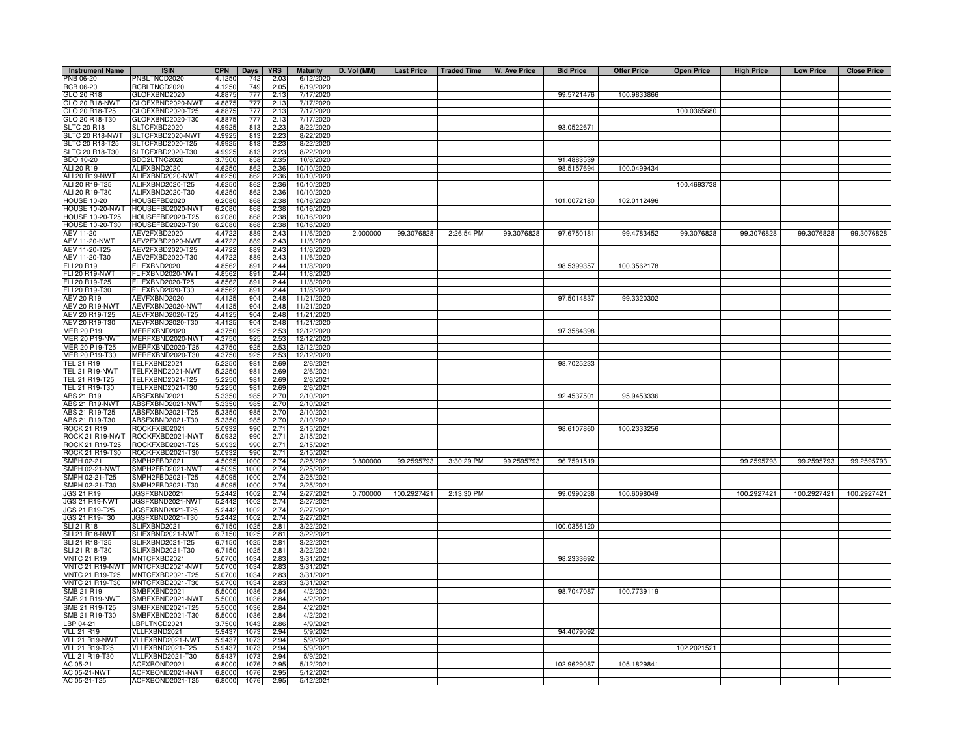| <b>Instrument Name</b>                | <b>ISIN</b>                          | <b>CPN</b>       | <b>Days</b>  | <b>YRS</b>          | <b>Maturity</b>          | D. Vol (MM) |             | Last Price   Traded Time | W. Ave Price | <b>Bid Price</b> | <b>Offer Price</b> | <b>Open Price</b> | <b>High Price</b> | <b>Low Price</b> | <b>Close Price</b> |
|---------------------------------------|--------------------------------------|------------------|--------------|---------------------|--------------------------|-------------|-------------|--------------------------|--------------|------------------|--------------------|-------------------|-------------------|------------------|--------------------|
| PNB 06-20                             | PNBLTNCD2020                         | 4.1250           | 742          | 2.03                | 6/12/2020                |             |             |                          |              |                  |                    |                   |                   |                  |                    |
| RCB 06-20                             | RCBLTNCD2020                         | 4.1250           | 749          | 2.05                | 6/19/2020                |             |             |                          |              |                  |                    |                   |                   |                  |                    |
| GLO 20 R18                            | GLOFXBND2020                         | 4.8875           | 777          | 2.13                | 7/17/2020                |             |             |                          |              | 99.5721476       | 100.9833866        |                   |                   |                  |                    |
| GLO 20 R18-NWT<br>GLO 20 R18-T25      | GLOFXBND2020-NWT<br>GLOFXBND2020-T25 | 4.8875<br>4.8875 | 777<br>777   | 2.13<br>2.13        | 7/17/2020<br>7/17/2020   |             |             |                          |              |                  |                    | 100.0365680       |                   |                  |                    |
| GLO 20 R18-T30                        | GLOFXBND2020-T30                     | 4.8875           | 777          | 2.13                | 7/17/2020                |             |             |                          |              |                  |                    |                   |                   |                  |                    |
| SLTC 20 R18                           | SLTCFXBD2020                         | 4.9925           | 813          | 2.23                | 8/22/2020                |             |             |                          |              | 93.0522671       |                    |                   |                   |                  |                    |
| <b>SLTC 20 R18-NWT</b>                | SLTCFXBD2020-NWT                     | 4.9925           | 813          | 2.23                | 8/22/2020                |             |             |                          |              |                  |                    |                   |                   |                  |                    |
| SLTC 20 R18-T25                       | SLTCFXBD2020-T25                     | 4.9925           | 813          | 2.23                | 8/22/2020                |             |             |                          |              |                  |                    |                   |                   |                  |                    |
| SLTC 20 R18-T30                       | SLTCFXBD2020-T30                     | 4.9925           | 813          | 2.23                | 8/22/2020                |             |             |                          |              |                  |                    |                   |                   |                  |                    |
| <b>BDO 10-20</b>                      | BDO2LTNC2020                         | 3.7500           | 858          | 2.35                | 10/6/2020                |             |             |                          |              | 91.4883539       |                    |                   |                   |                  |                    |
| ALI 20 R19<br>ALI 20 R19-NWT          | ALIFXBND2020<br>ALIFXBND2020-NWT     | 4.6250<br>4.6250 | 862<br>862   | 2.36<br>2.36        | 10/10/2020<br>10/10/2020 |             |             |                          |              | 98.5157694       | 100.0499434        |                   |                   |                  |                    |
| ALI 20 R19-T25                        | ALIFXBND2020-T25                     | 4.6250           | 862          |                     | 10/10/2020               |             |             |                          |              |                  |                    | 100.4693738       |                   |                  |                    |
| ALI 20 R19-T30                        | ALIFXBND2020-T30                     | 4.6250           | 862          | $\frac{2.36}{2.36}$ | 10/10/2020               |             |             |                          |              |                  |                    |                   |                   |                  |                    |
| <b>HOUSE 10-20</b>                    | HOUSEFBD2020                         | 6.2080           | 868          | 2.38                | 10/16/2020               |             |             |                          |              | 101.0072180      | 102.0112496        |                   |                   |                  |                    |
| HOUSE 10-20-NWT                       | HOUSEFBD2020-NWT                     | 6.2080           | 868          | 2.38                | 10/16/2020               |             |             |                          |              |                  |                    |                   |                   |                  |                    |
| <b>HOUSE 10-20-T25</b>                | HOUSEFBD2020-T25                     | 6.2080           | 868          | 2.38                | 10/16/2020               |             |             |                          |              |                  |                    |                   |                   |                  |                    |
| HOUSE 10-20-T30                       | OUSEFBD2020-T30                      | 6.2080           | 868          | 2.38                | 10/16/202                |             |             |                          |              |                  |                    |                   |                   |                  |                    |
| AEV 11-20                             | AEV2FXBD2020                         | 4.4722           | 889          | 2.43                | 11/6/2020                | 2.000000    | 99.3076828  | 2:26:54 PM               | 99.3076828   | 97.6750181       | 99.4783452         | 99.3076828        | 99.3076828        | 99.3076828       | 99.3076828         |
| <b>AEV 11-20-NWT</b><br>AEV 11-20-T25 | AEV2FXBD2020-NWT<br>AEV2FXBD2020-T25 | 4.4722<br>4.4722 | 889<br>889   | 2.43<br>2.43        | 11/6/202<br>11/6/202     |             |             |                          |              |                  |                    |                   |                   |                  |                    |
| AEV 11-20-T30                         | AEV2FXBD2020-T30                     | 4.4722           | 889          | 2.43                | 11/6/2020                |             |             |                          |              |                  |                    |                   |                   |                  |                    |
| FLI 20 R19                            | <b>LIFXBND2020</b>                   | 4.8562           | 891          | 2.44                | 11/8/202                 |             |             |                          |              | 98.5399357       | 100.3562178        |                   |                   |                  |                    |
| <b>FLI 20 R19-NWT</b>                 | LIFXBND2020-NWT                      | 4.8562           | 891          | 2.44                | 11/8/2020                |             |             |                          |              |                  |                    |                   |                   |                  |                    |
| FLI 20 R19-T25                        | LIFXBND2020-T25                      | 4.8562           | 891          | 2.44                | 11/8/2020                |             |             |                          |              |                  |                    |                   |                   |                  |                    |
| FLI 20 R19-T30                        | LIFXBND2020-T30                      | 4.8562           | 891          | 2.44                | 11/8/2020                |             |             |                          |              |                  |                    |                   |                   |                  |                    |
| AEV 20 R19                            | AEVFXBND2020                         | 4.4125           | 904          | 2.48                | 11/21/2020               |             |             |                          |              | 97.5014837       | 99.3320302         |                   |                   |                  |                    |
| AEV 20 R19-NWT                        | AEVFXBND2020-NWT                     | 4.4125           | 904          | 2.48                | 11/21/2020               |             |             |                          |              |                  |                    |                   |                   |                  |                    |
| AEV 20 R19-T25                        | AEVFXBND2020-T25<br>AEVFXBND2020-T30 | 4.4125           | 904          | 2.48                | 11/21/2020               |             |             |                          |              |                  |                    |                   |                   |                  |                    |
| AEV 20 R19-T30<br><b>MER 20 P19</b>   | <b>JERFXBND2020</b>                  | 4.4125<br>4.3750 | 904<br>925   | 2.48<br>2.53        | 11/21/2020<br>12/12/2020 |             |             |                          |              | 97.3584398       |                    |                   |                   |                  |                    |
| MER 20 P19-NWT                        | MERFXBND2020-NWT                     | 4.3750           | 925          | 2.53                | 12/12/2020               |             |             |                          |              |                  |                    |                   |                   |                  |                    |
| MER 20 P19-T25                        | MERFXBND2020-T25                     | 4.3750           | 925          | 2.53                | 12/12/2020               |             |             |                          |              |                  |                    |                   |                   |                  |                    |
| MER 20 P19-T30                        | MERFXBND2020-T30                     | 4.3750           | 925          | 2.53                | 12/12/2020               |             |             |                          |              |                  |                    |                   |                   |                  |                    |
| <b>TEL 21 R19</b>                     | FELFXBND2021                         | 5.2250           | 981          | 2.69                | 2/6/2021                 |             |             |                          |              | 98.7025233       |                    |                   |                   |                  |                    |
| TEL 21 R19-NWT                        | ELFXBND2021-NWT                      | 5.2250           | 981          | 2.69                | 2/6/202                  |             |             |                          |              |                  |                    |                   |                   |                  |                    |
| TEL 21 R19-T25                        | FELFXBND2021-T25                     | 5.2250           | 981          | 2.69                | 2/6/2021                 |             |             |                          |              |                  |                    |                   |                   |                  |                    |
| TEL 21 R19-T30                        | TELFXBND2021-T30                     | 5.2250           | 981          | 2.69                | 2/6/2021                 |             |             |                          |              |                  |                    |                   |                   |                  |                    |
| ABS 21 R19<br>ABS 21 R19-NWT          | ABSFXBND2021<br>ABSFXBND2021-NWT     | 5.3350<br>5.3350 | 985<br>985   | 2.70<br>2.70        | 2/10/2021<br>2/10/2021   |             |             |                          |              | 92.4537501       | 95.9453336         |                   |                   |                  |                    |
| ABS 21 R19-T25                        | ABSFXBND2021-T25                     | 5.3350           | 985          | 2.70                | 2/10/2021                |             |             |                          |              |                  |                    |                   |                   |                  |                    |
| ABS 21 R19-T30                        | ABSFXBND2021-T30                     | 5.3350           | 985          | 2.70                | 2/10/2021                |             |             |                          |              |                  |                    |                   |                   |                  |                    |
| <b>ROCK 21 R19</b>                    | ROCKFXBD2021                         | 5.0932           | 990          | 2.71                | 2/15/2021                |             |             |                          |              | 98.6107860       | 100.2333256        |                   |                   |                  |                    |
| ROCK 21 R19-NWT                       | ROCKFXBD2021-NWT                     | 5.0932           | 990          | 2.71                | 2/15/2021                |             |             |                          |              |                  |                    |                   |                   |                  |                    |
| ROCK 21 R19-T25                       | ROCKFXBD2021-T25                     | 5.0932           | 990          | 2.71                | 2/15/2021                |             |             |                          |              |                  |                    |                   |                   |                  |                    |
| ROCK 21 R19-T30                       | ROCKFXBD2021-T30                     | 5.0932           | 990          | 2.71                | 2/15/2021                |             |             |                          |              |                  |                    |                   |                   |                  |                    |
| SMPH 02-21                            | SMPH2FBD2021                         | 4.5095           | 1000         | 2.74                | 2/25/2021                | 0.800000    | 99.2595793  | 3:30:29 PM               | 99.2595793   | 96.7591519       |                    |                   | 99.2595793        | 99.2595793       | 99.2595793         |
| SMPH 02-21-NWT<br>SMPH 02-21-T25      | SMPH2FBD2021-NWT<br>MPH2FBD2021-T25  | 4.5095<br>4.5095 | 1000<br>1000 | 2.74<br>2.74        | 2/25/202<br>2/25/2021    |             |             |                          |              |                  |                    |                   |                   |                  |                    |
| MPH 02-21-T30                         | MPH2FBD2021-T30                      | 4.5095           | 1000         | 2.74                | 2/25/2021                |             |             |                          |              |                  |                    |                   |                   |                  |                    |
| JGS 21 R19                            | JGSFXBND2021                         | 5.2442           | 1002         | 2.74                | 2/27/2021                | 0.700000    | 100.2927421 | 2:13:30 PM               |              | 99.0990238       | 100.6098049        |                   | 100.2927421       | 100.2927421      | 100.2927421        |
| <b>JGS 21 R19-NWT</b>                 | JGSFXBND2021-NWT                     | 5.2442           | 1002         | 2.74                | 2/27/2021                |             |             |                          |              |                  |                    |                   |                   |                  |                    |
| JGS 21 R19-T25                        | JGSFXBND2021-T25                     | 5.2442           | 1002         | 2.74                | 2/27/2021                |             |             |                          |              |                  |                    |                   |                   |                  |                    |
| JGS 21 R19-T30                        | JGSFXBND2021-T30                     | 5.2442           | 1002         | 2.74                | 2/27/2021                |             |             |                          |              |                  |                    |                   |                   |                  |                    |
| SLI 21 R18                            | SLIFXBND2021                         | 6.7150           | 1025         | 2.81                | 3/22/2021                |             |             |                          |              | 100.0356120      |                    |                   |                   |                  |                    |
| <b>SLI 21 R18-NWT</b>                 | SLIFXBND2021-NWT                     | 6.7150           | 1025         | 2.81                | 3/22/2021                |             |             |                          |              |                  |                    |                   |                   |                  |                    |
| LI 21 R18-T25<br>SLI 21 R18-T30       | LIFXBND2021-T25<br>SLIFXBND2021-T30  | 6.7150<br>6.7150 | 1025<br>1025 | 2.81<br>2.81        | 3/22/2021<br>3/22/2021   |             |             |                          |              |                  |                    |                   |                   |                  |                    |
| <b>MNTC 21 R19</b>                    | MNTCFXBD2021                         | 5.0700           | 1034         | 2.83                | 3/31/2021                |             |             |                          |              | 98.2333692       |                    |                   |                   |                  |                    |
| MNTC 21 R19-NWT                       | MNTCFXBD2021-NWT                     | 5.0700           | 1034         | 2.83                | 3/31/2021                |             |             |                          |              |                  |                    |                   |                   |                  |                    |
| MNTC 21 R19-T25                       | MNTCFXBD2021-T25                     | 5.0700           | 1034         | 2.83                | 3/31/202                 |             |             |                          |              |                  |                    |                   |                   |                  |                    |
| MNTC 21 R19-T30                       | MNTCFXBD2021-T30                     | 5.0700           | 1034         | 2.83                | 3/31/2021                |             |             |                          |              |                  |                    |                   |                   |                  |                    |
| SMB 21 R19                            | SMBFXBND2021                         | 5.5000           | 1036         | 2.84                | 4/2/2021                 |             |             |                          |              | 98.7047087       | 100.7739119        |                   |                   |                  |                    |
| <b>SMB 21 R19-NWT</b>                 | SMBFXBND2021-NWT                     | 5.5000           | 1036         | 2.84                | 4/2/2021                 |             |             |                          |              |                  |                    |                   |                   |                  |                    |
| SMB 21 R19-T25                        | SMBFXBND2021-T25                     | 5.5000           | 1036         | 2.84                | 4/2/2021                 |             |             |                          |              |                  |                    |                   |                   |                  |                    |
| SMB 21 R19-T30                        | SMBFXBND2021-T30                     | 5.5000           | 1036         | 2.84                | 4/2/2021                 |             |             |                          |              |                  |                    |                   |                   |                  |                    |
| LBP 04-21<br><b>VLL 21 R19</b>        | BPLTNCD2021<br>/LLFXBND2021          | 3.7500<br>5.9437 | 1043         | 2.86<br>2.94        | 4/9/2021                 |             |             |                          |              | 94.4079092       |                    |                   |                   |                  |                    |
| VLL 21 R19-NWT                        | <b>/LLFXBND2021-NWT</b>              | 5.9437           | 107<br>1073  | 2.94                | 5/9/202<br>5/9/202       |             |             |                          |              |                  |                    |                   |                   |                  |                    |
| <b>VLL 21 R19-T25</b>                 | /LLFXBND2021-T25                     | 5.9437           | 1073         | 2.94                | 5/9/202                  |             |             |                          |              |                  |                    | 102.2021521       |                   |                  |                    |
| VLL 21 R19-T30                        | /LLFXBND2021-T30                     | 5.9437           | 1073         | 2.94                | 5/9/202                  |             |             |                          |              |                  |                    |                   |                   |                  |                    |
| AC 05-21                              | ACFXBOND2021                         | 6.8000           | 1076         | 2.95                | 5/12/2021                |             |             |                          |              | 102.9629087      | 105.1829841        |                   |                   |                  |                    |
| AC 05-21-NWT                          | ACFXBOND2021-NWT                     | 6.8000           | 1076         | 2.95                | 5/12/2021                |             |             |                          |              |                  |                    |                   |                   |                  |                    |
| AC 05-21-T25                          | ACFXBOND2021-T25                     | 6.8000           | 1076         | 2.95                | 5/12/2021                |             |             |                          |              |                  |                    |                   |                   |                  |                    |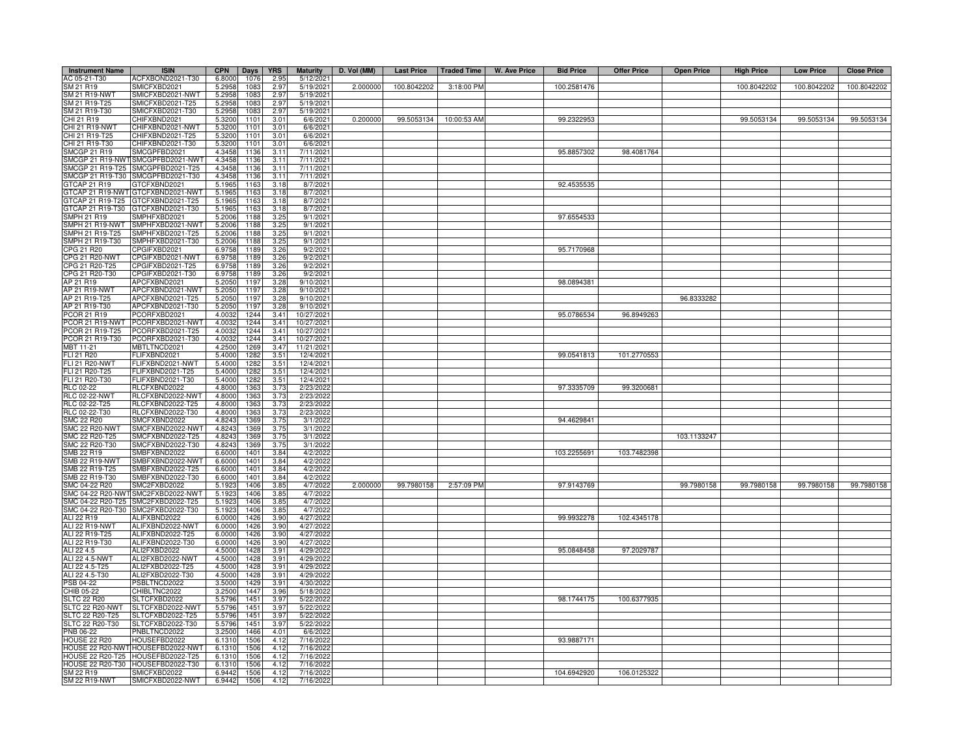| <b>Instrument Name</b>             | <b>ISIN</b>                                           | <b>CPN</b>       | Days         | <b>YRS</b>   | <b>Maturity</b>          | D. Vol (MM) | <b>Last Price</b> | <b>Traded Time</b> | W. Ave Price | <b>Bid Price</b> | <b>Offer Price</b> | <b>Open Price</b> | <b>High Price</b> | <b>Low Price</b> | <b>Close Price</b> |
|------------------------------------|-------------------------------------------------------|------------------|--------------|--------------|--------------------------|-------------|-------------------|--------------------|--------------|------------------|--------------------|-------------------|-------------------|------------------|--------------------|
| AC 05-21-T30                       | ACFXBOND2021-T30                                      | 6.8000           | 1076         | 2.95         | 5/12/2021                |             |                   |                    |              |                  |                    |                   |                   |                  |                    |
| SM 21 R19                          | SMICFXBD2021                                          | 5.2958           | 1083         | 2.97         | 5/19/2021                | 2.000000    | 100.8042202       | 3:18:00 PM         |              | 100.2581476      |                    |                   | 100.8042202       | 100.8042202      | 100.8042202        |
| SM 21 R19-NWT                      | MICFXBD2021-NWT                                       | 5.2958           | 1083         | 2.97         | 5/19/2021                |             |                   |                    |              |                  |                    |                   |                   |                  |                    |
| SM 21 R19-T25                      | MICFXBD2021-T25                                       | 5.2958           | 1083         | 2.97         | 5/19/2021                |             |                   |                    |              |                  |                    |                   |                   |                  |                    |
| SM 21 R19-T30                      | MICFXBD2021-T30                                       | 5.2958           | 1083         | 2.97         | 5/19/2021                |             |                   |                    |              |                  |                    |                   |                   |                  |                    |
| CHI 21 R19                         | CHIFXBND2021                                          | 5.3200           | 1101         | 3.01         | 6/6/2021                 | 0.200000    | 99.5053134        | 10:00:53 AM        |              | 99.2322953       |                    |                   | 99.5053134        | 99.5053134       | 99.5053134         |
| <b>CHI 21 R19-NWT</b>              | CHIFXBND2021-NWT                                      | 5.3200           | 1101         | 3.01         | 6/6/202                  |             |                   |                    |              |                  |                    |                   |                   |                  |                    |
| CHI 21 R19-T25                     | CHIFXBND2021-T25                                      | 5.3200           | 1101         | 3.01         | 6/6/2021                 |             |                   |                    |              |                  |                    |                   |                   |                  |                    |
| CHI 21 R19-T30                     | CHIFXBND2021-T30                                      | 5.3200           | 1101         | 3.01         | 6/6/202                  |             |                   |                    |              |                  |                    |                   |                   |                  |                    |
| SMCGP 21 R19                       | MCGPFBD2021                                           | 4.3458           | 1136         | 3.11         | 7/11/2021                |             |                   |                    |              | 95.8857302       | 98.4081764         |                   |                   |                  |                    |
| SMCGP 21 R19-NWT                   | SMCGPFBD2021-NWT                                      | 4.3458           | 1136         | 3.11<br>3.11 | 7/11/2021                |             |                   |                    |              |                  |                    |                   |                   |                  |                    |
| SMCGP 21 R19-T25                   | SMCGPFBD2021-T25<br>SMCGP 21 R19-T30 SMCGPFBD2021-T30 | 4.3458<br>4.3458 | 1136<br>1136 | 3.11         | 7/11/2021<br>7/11/2021   |             |                   |                    |              |                  |                    |                   |                   |                  |                    |
| GTCAP 21 R19                       | GTCFXBND2021                                          | 5.1965           | 1163         | 3.18         | 8/7/2021                 |             |                   |                    |              | 92.4535535       |                    |                   |                   |                  |                    |
| GTCAP 21 R19-NWT                   | GTCFXBND2021-NWT                                      | 5.1965           | 116          | 3.18         | 8/7/2021                 |             |                   |                    |              |                  |                    |                   |                   |                  |                    |
| GTCAP 21 R19-T25                   | GTCFXBND2021-T25                                      | 5.1965           | 116          | 3.18         | 8/7/202                  |             |                   |                    |              |                  |                    |                   |                   |                  |                    |
| GTCAP 21 R19-T30                   | GTCFXBND2021-T30                                      | 5.1965           | 116          | 3.18         | 8/7/2021                 |             |                   |                    |              |                  |                    |                   |                   |                  |                    |
| MPH 21 R19                         | MPHFXBD2021                                           | 5.2006           | 1188         | 3.25         | 9/1/202                  |             |                   |                    |              | 97.6554533       |                    |                   |                   |                  |                    |
| MPH 21 R19-NWT                     | MPHFXBD2021-NWT                                       | 5.2006           | 1188         | 3.25         | 9/1/202                  |             |                   |                    |              |                  |                    |                   |                   |                  |                    |
| MPH 21 R19-T25                     | SMPHFXBD2021-T25                                      | 5.2006           | 1188         | 3.25         | 9/1/202                  |             |                   |                    |              |                  |                    |                   |                   |                  |                    |
| SMPH 21 R19-T30                    | SMPHFXBD2021-T30                                      | 5.2006           | 1188         | 3.25         | 9/1/202                  |             |                   |                    |              |                  |                    |                   |                   |                  |                    |
| CPG 21 R20                         | CPGIFXBD2021                                          | 6.9758           | 1189         | 3.26         | 9/2/202                  |             |                   |                    |              | 95.7170968       |                    |                   |                   |                  |                    |
| CPG 21 R20-NWT                     | CPGIFXBD2021-NWT                                      | 6.9758           | 1189         | 3.26         | 9/2/202                  |             |                   |                    |              |                  |                    |                   |                   |                  |                    |
| CPG 21 R20-T25                     | CPGIFXBD2021-T25                                      | 6.9758           | 1189         | 3.26         | 9/2/202                  |             |                   |                    |              |                  |                    |                   |                   |                  |                    |
| CPG 21 R20-T30                     | CPGIFXBD2021-T30                                      | 6.9758           | 1189         | 3.26         | 9/2/202                  |             |                   |                    |              |                  |                    |                   |                   |                  |                    |
| AP 21 R19                          | APCFXBND2021                                          | 5.2050           | 1197         | 3.28         | 9/10/202                 |             |                   |                    |              | 98.0894381       |                    |                   |                   |                  |                    |
| AP 21 R19-NWT                      | APCFXBND2021-NWT                                      | 5.2050           | 1197         | 3.28         | 9/10/2021                |             |                   |                    |              |                  |                    |                   |                   |                  |                    |
| AP 21 R19-T25                      | APCFXBND2021-T25                                      | 5.2050           | 1197         | 3.28         | 9/10/2021                |             |                   |                    |              |                  |                    | 96.8333282        |                   |                  |                    |
| AP 21 R19-T30                      | APCFXBND2021-T30                                      | 5.2050           | 1197         | 3.28         | 9/10/202                 |             |                   |                    |              |                  |                    |                   |                   |                  |                    |
| PCOR 21 R19                        | CORFXBD2021                                           | 4.0032           | 1244         | 3.41         | 10/27/2021               |             |                   |                    |              | 95.0786534       | 96.8949263         |                   |                   |                  |                    |
| PCOR 21 R19-NWT<br>PCOR 21 R19-T25 | PCORFXBD2021-NWT                                      | 4.0032<br>4.0032 | 1244         | 3.41         | 10/27/2021               |             |                   |                    |              |                  |                    |                   |                   |                  |                    |
| PCOR 21 R19-T30                    | PCORFXBD2021-T25<br>PCORFXBD2021-T30                  | 4.0032           | 1244<br>1244 | 3.41<br>3.41 | 10/27/2021<br>10/27/2021 |             |                   |                    |              |                  |                    |                   |                   |                  |                    |
| MBT 11-21                          | <b>MBTLTNCD2021</b>                                   | 4.2500           | 1269         | 3.47         | 11/21/2021               |             |                   |                    |              |                  |                    |                   |                   |                  |                    |
| FLI 21 R20                         | FLIFXBND2021                                          | 5.4000           | 1282         | 3.51         | 12/4/2021                |             |                   |                    |              | 99.0541813       | 101.2770553        |                   |                   |                  |                    |
| <b>FLI 21 R20-NWT</b>              | -LIFXBND2021-NWT                                      | 5.4000           | 1282         | 3.51         | 12/4/2021                |             |                   |                    |              |                  |                    |                   |                   |                  |                    |
| FLI 21 R20-T25                     | -LIFXBND2021-T25                                      | 5.4000           | 1282         | 3.51         | 12/4/2021                |             |                   |                    |              |                  |                    |                   |                   |                  |                    |
| FLI 21 R20-T30                     | FLIFXBND2021-T30                                      | 5.4000           | 1282         | 3.51         | 12/4/2021                |             |                   |                    |              |                  |                    |                   |                   |                  |                    |
| RLC 02-22                          | RLCFXBND2022                                          | 4.8000           | 1363         | 3.73         | 2/23/2022                |             |                   |                    |              | 97.3335709       | 99.3200681         |                   |                   |                  |                    |
| <b>RLC 02-22-NWT</b>               | RLCFXBND2022-NWT                                      | 4.8000           | 1363         | 3.73         | 2/23/2022                |             |                   |                    |              |                  |                    |                   |                   |                  |                    |
| RLC 02-22-T25                      | RLCFXBND2022-T25                                      | 4.8000           | 1363         | 3.73         | 2/23/2022                |             |                   |                    |              |                  |                    |                   |                   |                  |                    |
| RLC 02-22-T30                      | RLCFXBND2022-T30                                      | 4.8000           | 1363         | 3.73         | 2/23/2022                |             |                   |                    |              |                  |                    |                   |                   |                  |                    |
| MC 22 R20                          | SMCFXBND2022                                          | 4.8243           | 1369         | 3.75         | 3/1/2022                 |             |                   |                    |              | 94.4629841       |                    |                   |                   |                  |                    |
| MC 22 R20-NWT                      | MCFXBND2022-NWT                                       | 4.8243           | 1369         | 3.75         | 3/1/202                  |             |                   |                    |              |                  |                    |                   |                   |                  |                    |
| SMC 22 R20-T25                     | SMCFXBND2022-T25                                      | 4.8243           | 1369         | 3.75         | 3/1/2022                 |             |                   |                    |              |                  |                    | 103.1133247       |                   |                  |                    |
| SMC 22 R20-T30                     | SMCFXBND2022-T30                                      | 4.8243           | 1369         | 3.75         | 3/1/2022                 |             |                   |                    |              |                  |                    |                   |                   |                  |                    |
| SMB 22 R19<br>SMB 22 R19-NWT       | SMBFXBND2022<br>SMBFXBND2022-NWT                      | 6.6000<br>6.6000 | 1401<br>1401 | 3.84<br>3.84 | 4/2/2022<br>4/2/2022     |             |                   |                    |              | 103.2255691      | 103.7482398        |                   |                   |                  |                    |
| SMB 22 R19-T25                     | SMBFXBND2022-T25                                      | 6.6000           | 1401         | 3.84         | 4/2/202                  |             |                   |                    |              |                  |                    |                   |                   |                  |                    |
| SMB 22 R19-T30                     | SMBFXBND2022-T30                                      | 6.6000           | 1401         | 3.84         | 4/2/2022                 |             |                   |                    |              |                  |                    |                   |                   |                  |                    |
| SMC 04-22 R20                      | SMC2FXBD2022                                          | 5.192            | 1406         | 3.85         | 4/7/2022                 | 2.000000    | 99.7980158        | 2:57:09 PM         |              | 97.9143769       |                    | 99.7980158        | 99.7980158        | 99.7980158       | 99.7980158         |
| SMC 04-22 R20-NW                   | SMC2FXBD2022-NWT                                      | 5.1923           | 1406         | 3.85         | 4/7/2022                 |             |                   |                    |              |                  |                    |                   |                   |                  |                    |
|                                    | SMC 04-22 R20-T25 SMC2FXBD2022-T25                    | 5.1923           | 1406         | 3.85         | 4/7/2022                 |             |                   |                    |              |                  |                    |                   |                   |                  |                    |
|                                    | SMC 04-22 R20-T30 SMC2FXBD2022-T30                    | 5.1923           | 1406         | 3.85         | 4/7/2022                 |             |                   |                    |              |                  |                    |                   |                   |                  |                    |
| ALI 22 R19                         | ALIFXBND2022                                          | 6.0000           | 1426         | 3.90         | 4/27/202                 |             |                   |                    |              | 99.9932278       | 102.4345178        |                   |                   |                  |                    |
| ALI 22 R19-NWT                     | ALIFXBND2022-NWT                                      | 6.0000           | 1426         | 3.90         | 4/27/202                 |             |                   |                    |              |                  |                    |                   |                   |                  |                    |
| ALI 22 R19-T25                     | ALIFXBND2022-T25                                      | 6.0000           | 1426         | 3.90         | 4/27/2022                |             |                   |                    |              |                  |                    |                   |                   |                  |                    |
| ALI 22 R19-T30                     | ALIFXBND2022-T30                                      | 6.0000           | 1426         | 3.90         | 4/27/2022                |             |                   |                    |              |                  |                    |                   |                   |                  |                    |
| ALI 22 4.5                         | ALI2FXBD2022                                          | 4.5000           | 1428         | 3.91         | 4/29/2022                |             |                   |                    |              | 95.0848458       | 97.2029787         |                   |                   |                  |                    |
| ALI 22 4.5-NWT                     | ALI2FXBD2022-NWT                                      | 4.5000           | 1428         | 3.91         | 4/29/2022                |             |                   |                    |              |                  |                    |                   |                   |                  |                    |
| ALI 22 4.5-T25                     | ALI2FXBD2022-T25                                      | 4.5000           | 1428         | 3.91         | 4/29/2022                |             |                   |                    |              |                  |                    |                   |                   |                  |                    |
| ALI 22 4.5-T30<br>PSB 04-22        | ALI2FXBD2022-T30<br>PSBLTNCD2022                      | 4.5000<br>3.5000 | 1428<br>1429 | 3.91<br>3.91 | 4/29/2022<br>4/30/2022   |             |                   |                    |              |                  |                    |                   |                   |                  |                    |
| CHIB 05-22                         | CHIBLTNC2022                                          | 3.2500           | 1447         | 3.96         | 5/18/2022                |             |                   |                    |              |                  |                    |                   |                   |                  |                    |
| <b>SLTC 22 R20</b>                 | SLTCFXBD2022                                          | 5.5796           | 1451         | 3.97         | 5/22/2022                |             |                   |                    |              | 98.1744175       | 100.6377935        |                   |                   |                  |                    |
| SLTC 22 R20-NWT                    | SLTCFXBD2022-NWT                                      | 5.5796           | 1451         | 3.97         | 5/22/2022                |             |                   |                    |              |                  |                    |                   |                   |                  |                    |
| SLTC 22 R20-T25                    | SLTCFXBD2022-T25                                      | 5.5796           | 1451         | 3.97         | 5/22/2022                |             |                   |                    |              |                  |                    |                   |                   |                  |                    |
| SLTC 22 R20-T30                    | SLTCFXBD2022-T30                                      | 5.5796           | 1451         | 3.97         | 5/22/2022                |             |                   |                    |              |                  |                    |                   |                   |                  |                    |
| PNB 06-22                          | PNBLTNCD2022                                          | 3.2500           | 1466         | 4.01         | 6/6/2022                 |             |                   |                    |              |                  |                    |                   |                   |                  |                    |
| <b>HOUSE 22 R20</b>                | HOUSEFBD2022                                          | 6.1310           | 1506         | 4.12         | 7/16/202                 |             |                   |                    |              | 93.9887171       |                    |                   |                   |                  |                    |
| HOUSE 22 R20-NW                    | HOUSEFBD2022-NWT                                      | 6.1310           | 1506         | 4.12         | 7/16/2022                |             |                   |                    |              |                  |                    |                   |                   |                  |                    |
| <b>HOUSE 22 R20-T25</b>            | HOUSEFBD2022-T25                                      | 6.1310           | 1506         | 4.12         | 7/16/202                 |             |                   |                    |              |                  |                    |                   |                   |                  |                    |
| <b>HOUSE 22 R20-T30</b>            | HOUSEFBD2022-T30                                      | 6.1310           | 1506         | 4.12         | 7/16/2022                |             |                   |                    |              |                  |                    |                   |                   |                  |                    |
| SM 22 R19                          | SMICFXBD2022                                          | 6.9442           | 1506         | 4.12         | 7/16/202                 |             |                   |                    |              | 104.6942920      | 106.0125322        |                   |                   |                  |                    |
| <b>SM 22 R19-NWT</b>               | SMICFXBD2022-NWT                                      | 6.9442           | 1506         | 4.12         | 7/16/2022                |             |                   |                    |              |                  |                    |                   |                   |                  |                    |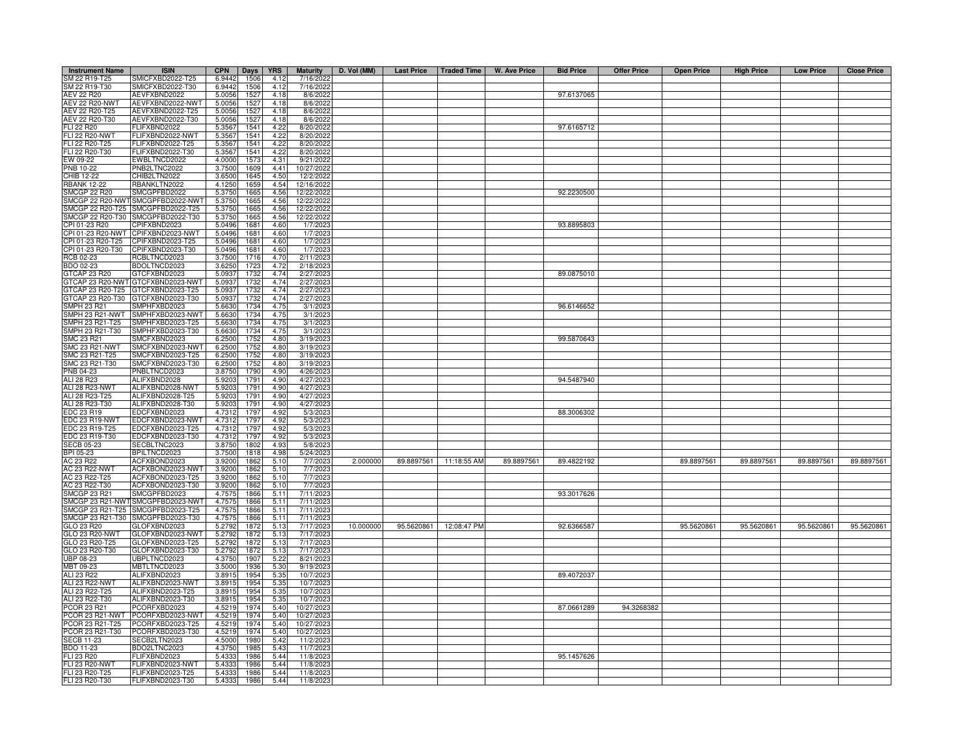| <b>Instrument Name</b>             | <b>ISIN</b>                          | <b>CPN</b>       | Days         | <b>YRS</b>   | <b>Maturity</b>        | D. Vol (MM) |                        | Last Price   Traded Time   W. Ave Price | <b>Bid Price</b> | <b>Offer Price</b> | <b>Open Price</b> | <b>High Price</b> | <b>Low Price</b> | <b>Close Price</b> |
|------------------------------------|--------------------------------------|------------------|--------------|--------------|------------------------|-------------|------------------------|-----------------------------------------|------------------|--------------------|-------------------|-------------------|------------------|--------------------|
| SM 22 R19-T25                      | SMICFXBD2022-T25                     | 6.9442           | 1506         | 4.12         | 7/16/2022              |             |                        |                                         |                  |                    |                   |                   |                  |                    |
| SM 22 R19-T30                      | SMICFXBD2022-T30                     | 6.9442           | 1506         | 4.12         | 7/16/2022              |             |                        |                                         |                  |                    |                   |                   |                  |                    |
| <b>AEV 22 R20</b>                  | AEVFXBND2022                         | 5.0056           | 1527         | 4.18         | 8/6/2022               |             |                        |                                         | 97.6137065       |                    |                   |                   |                  |                    |
| AEV 22 R20-NWT                     | AEVFXBND2022-NWT                     | 5.0056           | 1527         | 4.18         | 8/6/2022               |             |                        |                                         |                  |                    |                   |                   |                  |                    |
| AEV 22 R20-T25                     | AEVFXBND2022-T25                     | 5.0056           | 1527         | 4.18         | 8/6/2022               |             |                        |                                         |                  |                    |                   |                   |                  |                    |
| AEV 22 R20-T30                     | AEVFXBND2022-T30                     | 5.0056           | 1527         | 4.18         | 8/6/2022               |             |                        |                                         |                  |                    |                   |                   |                  |                    |
| <b>FLI 22 R20</b>                  | <b>ELIFXBND2022</b>                  | 5.3567           | 154          | 4.22         | 8/20/2022              |             |                        |                                         | 97.6165712       |                    |                   |                   |                  |                    |
| <b>FLI 22 R20-NWT</b>              | <b>ELIFXBND2022-NWT</b>              | 5.3567           | 154          | 4.22         | 8/20/2022              |             |                        |                                         |                  |                    |                   |                   |                  |                    |
| FLI 22 R20-T25                     | ELIFXBND2022-T25                     | 5.3567           | 154          | 4.22         | 8/20/2022              |             |                        |                                         |                  |                    |                   |                   |                  |                    |
| FLI 22 R20-T30                     | -LIFXBND2022-T30                     | 5.3567           | 1541         | 4.22         | 8/20/2022              |             |                        |                                         |                  |                    |                   |                   |                  |                    |
| EW 09-22                           | WBLTNCD2022                          | 4.0000           | 157          | 4.31         | 9/21/2022              |             |                        |                                         |                  |                    |                   |                   |                  |                    |
| PNB 10-22                          | PNB2LTNC2022                         | 3.7500           | 1609         | 4.41         | 10/27/2022             |             |                        |                                         |                  |                    |                   |                   |                  |                    |
| CHIB 12-22                         | CHIB2LTN2022                         | 3.6500           | 1645         | 4.50         | 12/2/2022              |             |                        |                                         |                  |                    |                   |                   |                  |                    |
| <b>RBANK 12-22</b>                 | RBANKLTN2022                         | 4.1250           | 1659         | 4.54         | 12/16/2022             |             |                        |                                         |                  |                    |                   |                   |                  |                    |
| <b>SMCGP 22 R20</b>                | SMCGPFBD2022                         | 5.3750           | 166          | 4.56         | 12/22/2022             |             |                        |                                         | 92.2230500       |                    |                   |                   |                  |                    |
| SMCGP 22 R20-NWT                   | SMCGPFBD2022-NWT                     | 5.3750           | 166          | 4.56         | 12/22/2022             |             |                        |                                         |                  |                    |                   |                   |                  |                    |
| SMCGP 22 R20-T25                   | SMCGPFBD2022-T25                     | 5.3750           | 166          | 4.56         | 12/22/2022             |             |                        |                                         |                  |                    |                   |                   |                  |                    |
| SMCGP 22 R20-T30                   | SMCGPFBD2022-T30                     | 5.3750           | 166          | 4.56         | 12/22/2022             |             |                        |                                         |                  |                    |                   |                   |                  |                    |
| CPI 01-23 R20<br>CPI 01-23 R20-NWT | CPIFXBND2023<br>CPIFXBND2023-NWT     | 5.0496           | 168          | 4.60         | 1/7/202                |             |                        |                                         | 93.8895803       |                    |                   |                   |                  |                    |
| CPI 01-23 R20-T25                  | CPIFXBND2023-T25                     | 5.0496           | 168          | 4.60         | 1/7/202                |             |                        |                                         |                  |                    |                   |                   |                  |                    |
|                                    |                                      | 5.0496           | 168          | 4.60         | 1/7/202                |             |                        |                                         |                  |                    |                   |                   |                  |                    |
| CPI 01-23 R20-T30<br>RCB 02-23     | CPIFXBND2023-T30<br>RCBLTNCD2023     | 5.0496<br>3.7500 | 168<br>1716  | 4.60<br>4.70 | 1/7/202<br>2/11/2023   |             |                        |                                         |                  |                    |                   |                   |                  |                    |
| BDO 02-23                          | BDOLTNCD2023                         | 3.625            | 1723         | 4.72         | 2/18/202               |             |                        |                                         |                  |                    |                   |                   |                  |                    |
| GTCAP 23 R20                       | GTCFXBND2023                         | 5.0937           | 1732         | 4.74         | 2/27/2023              |             |                        |                                         | 89.0875010       |                    |                   |                   |                  |                    |
|                                    | GTCAP 23 R20-NWT GTCFXBND2023-NWT    | 5.0937           | 1732         | 4.74         | 2/27/2023              |             |                        |                                         |                  |                    |                   |                   |                  |                    |
| GTCAP 23 R20-T25                   | GTCFXBND2023-T25                     | 5.0937           | 1732         | 4.74         | 2/27/2023              |             |                        |                                         |                  |                    |                   |                   |                  |                    |
| GTCAP 23 R20-T30                   | GTCFXBND2023-T30                     | 5.0937           | 1732         | 4.74         | 2/27/2023              |             |                        |                                         |                  |                    |                   |                   |                  |                    |
| <b>SMPH 23 R21</b>                 | MPHFXBD2023                          | 5.6630           | 1734         | 4.75         | 3/1/2023               |             |                        |                                         | 96.6146652       |                    |                   |                   |                  |                    |
| SMPH 23 R21-NWT                    | MPHFXBD2023-NWT                      | 5.6630           | 1734         | 4.75         | 3/1/2023               |             |                        |                                         |                  |                    |                   |                   |                  |                    |
| SMPH 23 R21-T25                    | MPHFXBD2023-T25                      | 5.6630           | 1734         | 4.75         | 3/1/2023               |             |                        |                                         |                  |                    |                   |                   |                  |                    |
| SMPH 23 R21-T30                    | MPHFXBD2023-T30                      | 5.6630           | 1734         | 4.75         | 3/1/202                |             |                        |                                         |                  |                    |                   |                   |                  |                    |
| SMC 23 R21                         | MCFXBND2023                          | 6.2500           | 1752         | 4.80         | 3/19/2023              |             |                        |                                         | 99.5870643       |                    |                   |                   |                  |                    |
| <b>SMC 23 R21-NWT</b>              | SMCFXBND2023-NWT                     | 6.2500           | 1752         | 4.80         | 3/19/202:              |             |                        |                                         |                  |                    |                   |                   |                  |                    |
| SMC 23 R21-T25                     | MCFXBND2023-T25                      | 6.2500           | 1752         | 4.80         | 3/19/2023              |             |                        |                                         |                  |                    |                   |                   |                  |                    |
| SMC 23 R21-T30                     | MCFXBND2023-T30                      | 6.2500           | 1752         | 4.80         | 3/19/2023              |             |                        |                                         |                  |                    |                   |                   |                  |                    |
| PNB 04-23                          | PNBLTNCD2023                         | 3.875            | 1790         | 4.90         | 4/26/202               |             |                        |                                         |                  |                    |                   |                   |                  |                    |
| ALI 28 R23                         | ALIFXBND2028                         | 5.920            | 1791         | 4.90         | 4/27/2023              |             |                        |                                         | 94.5487940       |                    |                   |                   |                  |                    |
| ALI 28 R23-NWT                     | ALIFXBND2028-NWT                     | 5.9203           | 179          | 4.90         | 4/27/2023              |             |                        |                                         |                  |                    |                   |                   |                  |                    |
| ALI 28 R23-T25                     | ALIFXBND2028-T25                     | 5.9203           | 1791         | 4.90         | 4/27/2023              |             |                        |                                         |                  |                    |                   |                   |                  |                    |
| ALI 28 R23-T30                     | ALIFXBND2028-T30                     | 5.9203           | 1791         | 4.90         | 4/27/2023              |             |                        |                                         |                  |                    |                   |                   |                  |                    |
| EDC 23 R19                         | EDCFXBND2023                         | 4.7312           | 1797         | 4.92         | 5/3/2023               |             |                        |                                         | 88.3006302       |                    |                   |                   |                  |                    |
| EDC 23 R19-NWT                     | DCFXBND2023-NWT                      | 4.731            | 179          | 4.92         | 5/3/2023               |             |                        |                                         |                  |                    |                   |                   |                  |                    |
| <b>EDC 23 R19-T25</b>              | DCFXBND2023-T25                      | 4.731            | 1797         | 4.92         | 5/3/202                |             |                        |                                         |                  |                    |                   |                   |                  |                    |
| EDC 23 R19-T30                     | EDCFXBND2023-T30                     | 4.7312           | 1797         | 4.92         | 5/3/2023               |             |                        |                                         |                  |                    |                   |                   |                  |                    |
| <b>SECB 05-23</b>                  | SECBLTNC2023                         | 3.8750           | 1802         | 4.93         | 5/8/2023               |             |                        |                                         |                  |                    |                   |                   |                  |                    |
| BPI 05-23                          | <b>BPILTNCD2023</b>                  | 3.750            | 1818         | 4.98         | 5/24/2023              |             |                        |                                         |                  |                    |                   |                   |                  |                    |
| AC 23 R22                          | ACFXBOND2023                         | 3.920            | 1862         | 5.10         | 7/7/2023               | 2.000000    | 89.8897561 11:18:55 AM | 89.8897561                              | 89.4822192       |                    | 89.8897561        | 89.8897561        | 89.8897561       | 89.8897561         |
| <b>AC 23 R22-NWT</b>               | ACFXBOND2023-NWT                     | 3.920            | 1862         | 5.10         | 7/7/202                |             |                        |                                         |                  |                    |                   |                   |                  |                    |
| AC 23 R22-T25                      | ACFXBOND2023-T25                     | 3.920            | 1862         | 5.10         | 7/7/2023               |             |                        |                                         |                  |                    |                   |                   |                  |                    |
| AC 23 R22-T30                      | ACFXBOND2023-T30                     | 3.920            | 1862         | 5.10         | 7/7/202                |             |                        |                                         |                  |                    |                   |                   |                  |                    |
| <b>SMCGP 23 R21</b>                | SMCGPFBD2023                         | 4.7575           | 1866         | 5.11         | 7/11/2023              |             |                        |                                         | 93.3017626       |                    |                   |                   |                  |                    |
| SMCGP 23 R21-NWT                   | SMCGPFBD2023-NWT                     | 4.7575           | 1866         | 5.11         | 7/11/2023              |             |                        |                                         |                  |                    |                   |                   |                  |                    |
| SMCGP 23 R21-T25                   | SMCGPFBD2023-T25                     | 4.7575           | 1866         | 5.11         | 7/11/2023              |             |                        |                                         |                  |                    |                   |                   |                  |                    |
| SMCGP 23 R21-T30<br>GLO 23 R20     | MCGPFBD2023-T30<br>GLOFXBND2023      | 4.7575           | 1866         | 5.11         | 7/11/2023<br>7/17/2023 | 10.000000   | 95.5620861 12:08:47 PM |                                         | 92.6366587       |                    | 95.5620861        | 95.5620861        | 95.5620861       | 95.5620861         |
|                                    |                                      | 5.2792           | 1872         | 5.13         |                        |             |                        |                                         |                  |                    |                   |                   |                  |                    |
| GLO 23 R20-NWT<br>GLO 23 R20-T25   | GLOFXBND2023-NWT<br>GLOFXBND2023-T25 | 5.2792<br>5.2792 | 1872<br>1872 | 5.13<br>5.13 | 7/17/2023<br>7/17/2023 |             |                        |                                         |                  |                    |                   |                   |                  |                    |
| GLO 23 R20-T30                     | GLOFXBND2023-T30                     | 5.2792           | 1872         | 5.13         | 7/17/202:              |             |                        |                                         |                  |                    |                   |                   |                  |                    |
| UBP 08-23                          | UBPLTNCD2023                         | 4.3750           | 1907         | 5.22         | 8/21/2023              |             |                        |                                         |                  |                    |                   |                   |                  |                    |
| MBT 09-23                          | <b>MBTLTNCD2023</b>                  | 3.5000           | 1936         | 5.30         | 9/19/2023              |             |                        |                                         |                  |                    |                   |                   |                  |                    |
| ALI 23 R22                         | ALIFXBND2023                         | 3.8915           | 1954         | 5.35         | 10/7/2023              |             |                        |                                         | 89.4072037       |                    |                   |                   |                  |                    |
| ALI 23 R22-NWT                     | ALIFXBND2023-NWT                     | 3.8915           | 1954         | 5.35         | 10/7/2023              |             |                        |                                         |                  |                    |                   |                   |                  |                    |
| ALI 23 R22-T25                     | ALIFXBND2023-T25                     | 3.8915           | 1954         | 5.35         | 10/7/2023              |             |                        |                                         |                  |                    |                   |                   |                  |                    |
| ALI 23 R22-T30                     | ALIFXBND2023-T30                     | 3.8915           | 1954         | 5.35         | 10/7/2023              |             |                        |                                         |                  |                    |                   |                   |                  |                    |
| PCOR 23 R21                        | PCORFXBD2023                         | 4.5219           | 1974         | 5.40         | 10/27/2023             |             |                        |                                         | 87.0661289       | 94.3268382         |                   |                   |                  |                    |
|                                    | PCOR 23 R21-NWT PCORFXBD2023-NWT     | 4.5219           | 1974         | 5.40         | 10/27/2023             |             |                        |                                         |                  |                    |                   |                   |                  |                    |
| PCOR 23 R21-T25                    | PCORFXBD2023-T25                     | 4.5219           | 1974         | 5.40         | 10/27/2023             |             |                        |                                         |                  |                    |                   |                   |                  |                    |
| PCOR 23 R21-T30                    | PCORFXBD2023-T30                     | 4.5219           | 1974         | 5.40         | 10/27/2023             |             |                        |                                         |                  |                    |                   |                   |                  |                    |
| <b>SECB 11-23</b>                  | SECB2LTN2023                         | 4.5000           | 1980         | 5.42         | 11/2/2023              |             |                        |                                         |                  |                    |                   |                   |                  |                    |
| BDO 11-23                          | BDO2LTNC2023                         | 4.3750           | 198          | 5.43         | 11/7/2023              |             |                        |                                         |                  |                    |                   |                   |                  |                    |
| FLI 23 R20                         | FLIFXBND2023                         | 5.4333           | 1986         | 5.44         | 11/8/2023              |             |                        |                                         | 95.1457626       |                    |                   |                   |                  |                    |
| <b>FLI 23 R20-NWT</b>              | FLIFXBND2023-NWT                     | 5.4333           | 1986         | 5.44         | 11/8/2023              |             |                        |                                         |                  |                    |                   |                   |                  |                    |
| FLI 23 R20-T25                     | FLIFXBND2023-T25                     | 5.4333           | 1986         | 5.44         | 11/8/202               |             |                        |                                         |                  |                    |                   |                   |                  |                    |
| FLI 23 R20-T30                     | FLIFXBND2023-T30                     | 5.4333           | 1986         | 5.44         | 11/8/2023              |             |                        |                                         |                  |                    |                   |                   |                  |                    |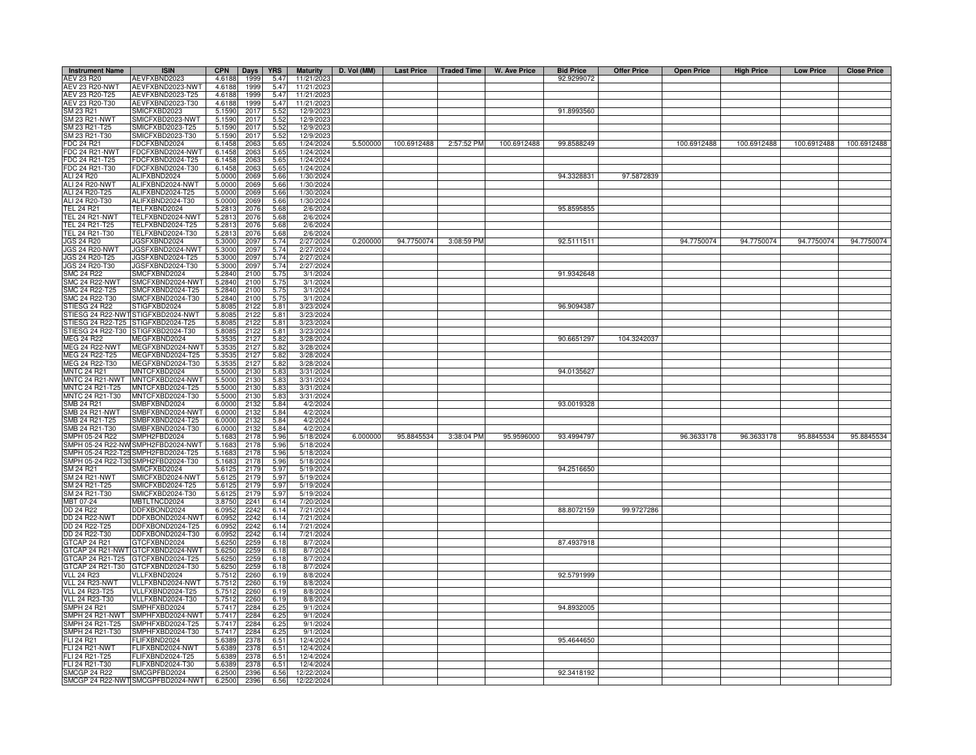| <b>Instrument Name</b>                    | <b>ISIN</b>                                    | <b>CPN</b>       | <b>Days</b>  | <b>YRS</b>   | <b>Maturity</b>          | D. Vol (MM) |             |            | Last Price   Traded Time   W. Ave Price | <b>Bid Price</b> | <b>Offer Price</b> | <b>Open Price</b> | <b>High Price</b> | <b>Low Price</b> | <b>Close Price</b> |
|-------------------------------------------|------------------------------------------------|------------------|--------------|--------------|--------------------------|-------------|-------------|------------|-----------------------------------------|------------------|--------------------|-------------------|-------------------|------------------|--------------------|
| AEV 23 R20                                | AEVFXBND2023                                   | 4.6188           | 1999         | 5.47         | 11/21/2023               |             |             |            |                                         | 92.9299072       |                    |                   |                   |                  |                    |
| <b>AEV 23 R20-NWT</b>                     | AEVFXBND2023-NWT                               | 4.6188           | 1999         | 5.47         | 11/21/202                |             |             |            |                                         |                  |                    |                   |                   |                  |                    |
| AEV 23 R20-T25<br>AEV 23 R20-T30          | AEVFXBND2023-T25                               | 4.6188           | 1999         | 5.47         | 11/21/2023<br>11/21/2023 |             |             |            |                                         |                  |                    |                   |                   |                  |                    |
| SM 23 R21                                 | AEVFXBND2023-T30<br>SMICFXBD2023               | 4.6188<br>5.1590 | 1999<br>2017 | 5.47<br>5.52 | 12/9/202                 |             |             |            |                                         | 91.8993560       |                    |                   |                   |                  |                    |
| SM 23 R21-NWT                             | MICFXBD2023-NWT                                | 5.1590           | 2017         | 5.52         | 12/9/202                 |             |             |            |                                         |                  |                    |                   |                   |                  |                    |
| SM 23 R21-T25                             | MICFXBD2023-T25                                | 5.1590           | 201          | 5.52         | 12/9/202                 |             |             |            |                                         |                  |                    |                   |                   |                  |                    |
| SM 23 R21-T30                             | MICFXBD2023-T30                                | 5.1590           | 201          | 5.52         | 12/9/202                 |             |             |            |                                         |                  |                    |                   |                   |                  |                    |
| FDC 24 R21                                | DCFXBND2024                                    | 6.1458           | 206          | 5.65         | 1/24/2024                | 5.500000    | 100.6912488 | 2:57:52 PM | 100.6912488                             | 99.8588249       |                    | 100.6912488       | 100.6912488       | 100.6912488      | 100.6912488        |
| FDC 24 R21-NWT                            | FDCFXBND2024-NWT                               | 6.1458           | 2063         | 5.65         | 1/24/2024                |             |             |            |                                         |                  |                    |                   |                   |                  |                    |
| FDC 24 R21-T25                            | FDCFXBND2024-T25                               | 6.1458           | 2063         | 5.65         | 1/24/2024                |             |             |            |                                         |                  |                    |                   |                   |                  |                    |
| FDC 24 R21-T30<br><b>ALI 24 R20</b>       | FDCFXBND2024-T30<br>ALIFXBND2024               | 6.1458<br>5.0000 | 2063<br>2069 | 5.65<br>5.66 | 1/24/2024<br>1/30/2024   |             |             |            |                                         | 94.3328831       | 97.5872839         |                   |                   |                  |                    |
| ALI 24 R20-NWT                            | ALIFXBND2024-NWT                               | 5.0000           | 2069         | 5.66         | 1/30/2024                |             |             |            |                                         |                  |                    |                   |                   |                  |                    |
| ALI 24 R20-T25                            | ALIFXBND2024-T25                               | 5.0000           | 2069         | 5.66         | 1/30/2024                |             |             |            |                                         |                  |                    |                   |                   |                  |                    |
| ALI 24 R20-T30                            | ALIFXBND2024-T30                               | 5.0000           | 2069         | 5.66         | 1/30/2024                |             |             |            |                                         |                  |                    |                   |                   |                  |                    |
| <b>TEL 24 R21</b>                         | TELFXBND2024                                   | 5.2813           | 2076         | 5.68         | 2/6/2024                 |             |             |            |                                         | 95.8595855       |                    |                   |                   |                  |                    |
| <b>TEL 24 R21-NWT</b>                     | TELFXBND2024-NWT                               | 5.2813           | 2076         | 5.68         | 2/6/2024                 |             |             |            |                                         |                  |                    |                   |                   |                  |                    |
| TEL 24 R21-T25                            | FELFXBND2024-T25                               | 5.2813           | 2076         | 5.68         | 2/6/2024                 |             |             |            |                                         |                  |                    |                   |                   |                  |                    |
| TEL 24 R21-T30                            | TELFXBND2024-T30                               | 5.2813           | 2076         | 5.68         | 2/6/2024                 |             |             |            |                                         |                  |                    |                   |                   |                  |                    |
| <b>JGS 24 R20</b><br><b>JGS 24 R20-NW</b> | <b>JGSFXBND2024</b><br><b>JGSFXBND2024-NWT</b> | 5.3000<br>5.3000 | 2097<br>2097 | 5.74<br>5.74 | 2/27/2024<br>2/27/2024   | 0.200000    | 94.7750074  | 3:08:59 PM |                                         | 92.5111511       |                    | 94.7750074        | 94.7750074        | 94.7750074       | 94.7750074         |
| JGS 24 R20-T25                            | IGSFXBND2024-T25                               | 5.3000           | 2097         | 5.74         | 2/27/2024                |             |             |            |                                         |                  |                    |                   |                   |                  |                    |
| JGS 24 R20-T30                            | JGSFXBND2024-T30                               | 5.3000           | 2097         | 5.74         | 2/27/2024                |             |             |            |                                         |                  |                    |                   |                   |                  |                    |
| SMC 24 R22                                | SMCFXBND2024                                   | 5.2840           | 2100         | 5.75         | 3/1/2024                 |             |             |            |                                         | 91.9342648       |                    |                   |                   |                  |                    |
| <b>SMC 24 R22-NWT</b>                     | SMCFXBND2024-NWT                               | 5.2840           | 2100         | 5.75         | 3/1/2024                 |             |             |            |                                         |                  |                    |                   |                   |                  |                    |
| SMC 24 R22-T25                            | SMCFXBND2024-T25                               | 5.2840           | 2100         | 5.75         | 3/1/2024                 |             |             |            |                                         |                  |                    |                   |                   |                  |                    |
| SMC 24 R22-T30                            | SMCFXBND2024-T30                               | 5.2840           | 2100         | 5.75         | 3/1/2024                 |             |             |            |                                         |                  |                    |                   |                   |                  |                    |
| STIESG 24 R22                             | TIGFXBD2024                                    | 5.8085           | 2122         | 5.81         | 3/23/2024                |             |             |            |                                         | 96.9094387       |                    |                   |                   |                  |                    |
| STIESG 24 R22-NWT<br>STIESG 24 R22-T25    | STIGFXBD2024-NWT<br>TIGFXBD2024-T25            | 5.8085<br>5.8085 | 2122<br>2122 | 5.81<br>5.81 | 3/23/2024<br>3/23/2024   |             |             |            |                                         |                  |                    |                   |                   |                  |                    |
| STIESG 24 R22-T30                         | TIGFXBD2024-T30                                | 5.8085           | 2122         | 5.81         | 3/23/2024                |             |             |            |                                         |                  |                    |                   |                   |                  |                    |
| <b>MEG 24 R22</b>                         | MEGFXBND2024                                   | 5.3535           | 2127         | 5.82         | 3/28/2024                |             |             |            |                                         | 90.6651297       | 104.3242037        |                   |                   |                  |                    |
| MEG 24 R22-NWT                            | MEGFXBND2024-NWT                               | 5.3535           | 2127         | 5.82         | 3/28/2024                |             |             |            |                                         |                  |                    |                   |                   |                  |                    |
| MEG 24 R22-T25                            | MEGFXBND2024-T25                               | 5.3535           | 2127         | 5.82         | 3/28/2024                |             |             |            |                                         |                  |                    |                   |                   |                  |                    |
| MEG 24 R22-T30                            | MEGFXBND2024-T30                               | 5.3535           | 2127         | 5.82         | 3/28/2024                |             |             |            |                                         |                  |                    |                   |                   |                  |                    |
| <b>MNTC 24 R21</b>                        | MNTCFXBD2024                                   | 5.5000           | 2130         | 5.83         | 3/31/2024                |             |             |            |                                         | 94.0135627       |                    |                   |                   |                  |                    |
| MNTC 24 R21-NWT                           | MNTCFXBD2024-NWT                               | 5.500            | 2130         | 5.83         | 3/31/2024                |             |             |            |                                         |                  |                    |                   |                   |                  |                    |
| MNTC 24 R21-T25<br>MNTC 24 R21-T30        | MNTCFXBD2024-T25                               | 5.5000<br>5.5000 | 2130<br>2130 | 5.83         | 3/31/2024                |             |             |            |                                         |                  |                    |                   |                   |                  |                    |
| SMB 24 R21                                | MNTCFXBD2024-T30<br>SMBFXBND2024               | 6.0000           | 2132         | 5.83<br>5.84 | 3/31/2024<br>4/2/2024    |             |             |            |                                         | 93.0019328       |                    |                   |                   |                  |                    |
| <b>SMB 24 R21-NWT</b>                     | SMBFXBND2024-NWT                               | 6.0000           | 2132         | 5.84         | 4/2/2024                 |             |             |            |                                         |                  |                    |                   |                   |                  |                    |
| SMB 24 R21-T25                            | MBFXBND2024-T25                                | 6.000            | 2132         | 5.84         | 4/2/2024                 |             |             |            |                                         |                  |                    |                   |                   |                  |                    |
| SMB 24 R21-T30                            | MBFXBND2024-T30                                | 6.000            | 2132         | 5.84         | 4/2/2024                 |             |             |            |                                         |                  |                    |                   |                   |                  |                    |
| SMPH 05-24 R22                            | SMPH2FBD2024                                   | 5.1683           | 2178         | 5.96         | 5/18/2024                | 6.000000    | 95.8845534  | 3:38:04 PM | 95.9596000                              | 93.4994797       |                    | 96.3633178        | 96.3633178        | 95.8845534       | 95.8845534         |
| SMPH 05-24 R22-NV                         | SMPH2FBD2024-NWT                               | 5.1683           | 2178         | 5.96         | 5/18/2024                |             |             |            |                                         |                  |                    |                   |                   |                  |                    |
| SMPH 05-24 R22-T2                         | SMPH2FBD2024-T25                               | 5.1683           | 2178         | 5.96         | 5/18/2024                |             |             |            |                                         |                  |                    |                   |                   |                  |                    |
| SMPH 05-24 R22-T3                         | SMPH2FBD2024-T30                               | 5.1683           | 2178         | 5.96         | 5/18/2024                |             |             |            |                                         |                  |                    |                   |                   |                  |                    |
| SM 24 R21<br>SM 24 R21-NWT                | MICFXBD2024<br>SMICFXBD2024-NWT                | 5.612<br>5.612   | 2179<br>2179 | 5.97<br>5.97 | 5/19/2024<br>5/19/2024   |             |             |            |                                         | 94.2516650       |                    |                   |                   |                  |                    |
| SM 24 R21-T25                             | SMICFXBD2024-T25                               | 5.612            | 2179         | 5.97         | 5/19/2024                |             |             |            |                                         |                  |                    |                   |                   |                  |                    |
| SM 24 R21-T30                             | SMICFXBD2024-T30                               | 5.6125           | 2179         | 5.97         | 5/19/2024                |             |             |            |                                         |                  |                    |                   |                   |                  |                    |
| MBT 07-24                                 | MBTLTNCD2024                                   | 3.8750           | 2241         | 6.14         | 7/20/2024                |             |             |            |                                         |                  |                    |                   |                   |                  |                    |
| DD 24 R22                                 | DDFXBOND2024                                   | 6.0952           | 2242         | 6.14         | 7/21/2024                |             |             |            |                                         | 88.8072159       | 99.9727286         |                   |                   |                  |                    |
| <b>DD 24 R22-NWT</b>                      | DDFXBOND2024-NWT                               | 6.0952           | 2242         | 6.14         | 7/21/2024                |             |             |            |                                         |                  |                    |                   |                   |                  |                    |
| DD 24 R22-T25                             | DDFXBOND2024-T25                               | 6.0952           | 2242         | 6.14         | 7/21/2024                |             |             |            |                                         |                  |                    |                   |                   |                  |                    |
| DD 24 R22-T30                             | DFXBOND2024-T30                                | 6.0952           | 2242         | 6.14         | 7/21/2024                |             |             |            |                                         |                  |                    |                   |                   |                  |                    |
| GTCAP 24 R21<br>GTCAP 24 R21-NWT          | GTCFXBND2024<br>GTCFXBND2024-NWT               | 5.6250<br>5.6250 | 2259<br>2259 | 6.18<br>6.18 | 8/7/2024<br>8/7/2024     |             |             |            |                                         | 87.4937918       |                    |                   |                   |                  |                    |
|                                           | GTCAP 24 R21-T25 GTCFXBND2024-T25              | 5.6250           | 2259         | 6.18         | 8/7/2024                 |             |             |            |                                         |                  |                    |                   |                   |                  |                    |
|                                           | GTCAP 24 R21-T30 GTCFXBND2024-T30              | 5.6250           | 2259         | 6.18         | 8/7/2024                 |             |             |            |                                         |                  |                    |                   |                   |                  |                    |
| <b>VLL 24 R23</b>                         | /LLFXBND2024                                   | 5.7512           | 2260         | 6.19         | 8/8/2024                 |             |             |            |                                         | 92.5791999       |                    |                   |                   |                  |                    |
| VLL 24 R23-NWT                            | VLLFXBND2024-NWT                               | 5.7512           | 2260         | 6.19         | 8/8/2024                 |             |             |            |                                         |                  |                    |                   |                   |                  |                    |
| <b>VLL 24 R23-T25</b>                     | VLLFXBND2024-T25                               | 5.7512           | 2260         | 6.19         | 8/8/2024                 |             |             |            |                                         |                  |                    |                   |                   |                  |                    |
| VLL 24 R23-T30                            | VLLFXBND2024-T30                               | 5.7512           | 2260         | 6.19         | 8/8/2024                 |             |             |            |                                         |                  |                    |                   |                   |                  |                    |
| <b>SMPH 24 R21</b>                        | SMPHFXBD2024                                   | 5.7417           | 2284         | 6.25         | 9/1/2024                 |             |             |            |                                         | 94.8932005       |                    |                   |                   |                  |                    |
| SMPH 24 R21-NWT                           | SMPHFXBD2024-NWT                               | 5.7417           | 2284         | 6.25         | 9/1/2024                 |             |             |            |                                         |                  |                    |                   |                   |                  |                    |
| SMPH 24 R21-T25<br>SMPH 24 R21-T30        | MPHFXBD2024-T25<br>MPHFXBD2024-T30             | 5.7417<br>5.7417 | 2284<br>2284 | 6.25<br>6.25 | 9/1/2024<br>9/1/2024     |             |             |            |                                         |                  |                    |                   |                   |                  |                    |
| FLI 24 R21                                | FLIFXBND2024                                   | 5.6389           | 2378         | 6.51         | 12/4/2024                |             |             |            |                                         | 95.4644650       |                    |                   |                   |                  |                    |
| FLI 24 R21-NWT                            | FLIFXBND2024-NWT                               | 5.6389           | 2378         | 6.51         | 12/4/2024                |             |             |            |                                         |                  |                    |                   |                   |                  |                    |
| FLI 24 R21-T25                            | FLIFXBND2024-T25                               | 5.6389           | 2378         | 6.51         | 12/4/2024                |             |             |            |                                         |                  |                    |                   |                   |                  |                    |
| FLI 24 R21-T30                            | FLIFXBND2024-T30                               | 5.6389           | 2378         | 6.51         | 12/4/2024                |             |             |            |                                         |                  |                    |                   |                   |                  |                    |
| <b>SMCGP 24 R22</b>                       | SMCGPFBD2024                                   | 6.2500           | 2396         | 6.56         | 12/22/2024               |             |             |            |                                         | 92.3418192       |                    |                   |                   |                  |                    |
|                                           | SMCGP 24 R22-NWT SMCGPFBD2024-NWT              | 6.2500           | 2396         | 6.56         | 12/22/2024               |             |             |            |                                         |                  |                    |                   |                   |                  |                    |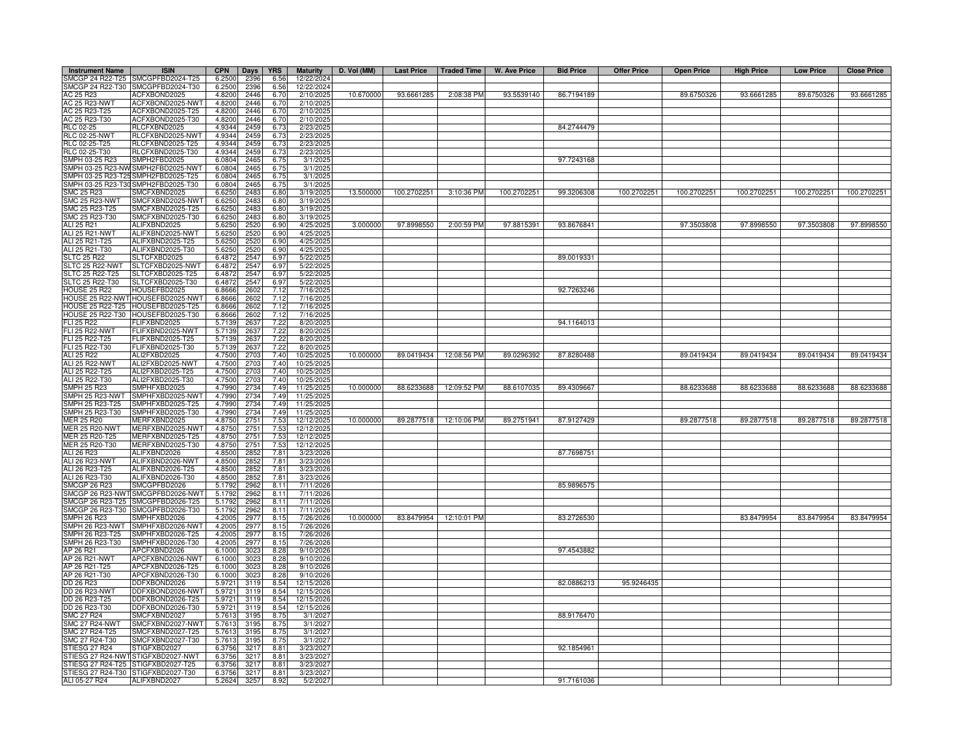| <b>Instrument Name</b>               | <b>ISIN</b>                                       | <b>CPN</b>       | Days         | <b>YRS</b>    | <b>Maturity</b>        | D. Vol (MM) | <b>Last Price</b> | <b>Traded Time</b> | W. Ave Price | <b>Bid Price</b> | <b>Offer Price</b> | <b>Open Price</b> | <b>High Price</b> | <b>Low Price</b> | <b>Close Price</b> |
|--------------------------------------|---------------------------------------------------|------------------|--------------|---------------|------------------------|-------------|-------------------|--------------------|--------------|------------------|--------------------|-------------------|-------------------|------------------|--------------------|
|                                      | SMCGP 24 R22-T25 SMCGPFBD2024-T25                 | 6.2500           | 2396         | 6.56          | 12/22/2024             |             |                   |                    |              |                  |                    |                   |                   |                  |                    |
|                                      | SMCGP 24 R22-T30 SMCGPFBD2024-T30                 | 6.2500           | 2396         | 6.56          | 12/22/2024             |             |                   |                    |              |                  |                    |                   |                   |                  |                    |
| AC 25 R23                            | ACFXBOND2025                                      | 4.8200           | 2446         | 6.70          | 2/10/2025              | 10.670000   | 93.6661285        | 2:08:38 PM         | 93.5539140   | 86.7194189       |                    | 89.6750326        | 93.6661285        | 89.6750326       | 93.6661285         |
| AC 25 R23-NWT<br>AC 25 R23-T25       | ACFXBOND2025-NWT                                  | 4.8200           | 2446         | 6.70          | 2/10/2025              |             |                   |                    |              |                  |                    |                   |                   |                  |                    |
|                                      | ACFXBOND2025-T25                                  | 4.8200           | 2446         | 6.70          | 2/10/2025              |             |                   |                    |              |                  |                    |                   |                   |                  |                    |
| AC 25 R23-T30                        | ACFXBOND2025-T30                                  | 4.8200           | 2446         | 6.70          | 2/10/2025              |             |                   |                    |              |                  |                    |                   |                   |                  |                    |
| <b>RLC 02-25</b>                     | RLCFXBND2025                                      | 4.9344           | 2459         | 6.73          | 2/23/2025              |             |                   |                    |              | 84.2744479       |                    |                   |                   |                  |                    |
| <b>RLC 02-25-NWT</b>                 | RLCFXBND2025-NWT                                  | 4.9344           | 2459         | 6.73          | 2/23/2025              |             |                   |                    |              |                  |                    |                   |                   |                  |                    |
| RLC 02-25-T25<br>RLC 02-25-T30       | RLCFXBND2025-T25                                  | 4.9344           | 245          | 6.73          | 2/23/2025              |             |                   |                    |              |                  |                    |                   |                   |                  |                    |
|                                      | RLCFXBND2025-T30                                  | 4.9344           | 245          | 6.73          | 2/23/2025              |             |                   |                    |              |                  |                    |                   |                   |                  |                    |
| SMPH 03-25 R23                       | SMPH2FBD2025                                      | 6.0804           | 246          | 6.75          | 3/1/2025               |             |                   |                    |              | 97.7243168       |                    |                   |                   |                  |                    |
|                                      | MPH 03-25 R23-NW SMPH2FBD2025-NWT                 | 6.0804           | 246          | 6.75          | 3/1/202                |             |                   |                    |              |                  |                    |                   |                   |                  |                    |
|                                      | SMPH 03-25 R23-T25 SMPH2FBD2025-T25               | 6.0804           | 2465         | 6.75          | 3/1/2025               |             |                   |                    |              |                  |                    |                   |                   |                  |                    |
|                                      | SMPH 03-25 R23-T30 SMPH2FBD2025-T30               | 6.0804           | 246          | 6.75          | 3/1/2025               |             |                   |                    |              |                  |                    |                   |                   |                  |                    |
| SMC 25 R23                           | SMCFXBND2025                                      | 6.6250           | 2483         | 6.80          | 3/19/2025              | 13.500000   | 100.2702251       | 3:10:36 PM         | 100.2702251  | 99.3206308       | 100.2702251        | 100.2702251       | 100.2702251       | 100.2702251      | 100.2702251        |
| <b>SMC 25 R23-NWT</b>                | SMCFXBND2025-NWT                                  | 6.6250           | 2483         | 6.80          | 3/19/2025              |             |                   |                    |              |                  |                    |                   |                   |                  |                    |
| SMC 25 R23-T25                       | SMCFXBND2025-T25                                  | 6.6250           | 2483         | 6.80          | 3/19/2025              |             |                   |                    |              |                  |                    |                   |                   |                  |                    |
| SMC 25 R23-T30                       | SMCFXBND2025-T30                                  | 6.6250           | 2483         | 6.8C          | 3/19/2025              |             |                   |                    | 97.8815391   |                  |                    |                   |                   |                  |                    |
| ALI 25 R21<br>ALI 25 R21-NWT         | ALIFXBND2025<br>ALIFXBND2025-NWT                  | 5.6250           | 252(<br>2520 | 6.90          | 4/25/2025              | 3.000000    | 97.8998550        | 2:00:59 PM         |              | 93.8676841       |                    | 97.3503808        | 97.8998550        | 97.3503808       | 97.8998550         |
| ALI 25 R21-T25                       | ALIFXBND2025-T25                                  | 5.6250           |              | 6.90          | 4/25/2025              |             |                   |                    |              |                  |                    |                   |                   |                  |                    |
|                                      |                                                   | 5.6250           | 2520         | 6.90          | 4/25/2025              |             |                   |                    |              |                  |                    |                   |                   |                  |                    |
| ALI 25 R21-T30<br><b>SLTC 25 R22</b> | ALIFXBND2025-T30<br>SLTCFXBD2025                  | 5.6250<br>6.4872 | 2520<br>2547 | 6.90<br>6.97  | 4/25/2025<br>5/22/2025 |             |                   |                    |              | 89.0019331       |                    |                   |                   |                  |                    |
| SLTC 25 R22-NWT                      | SLTCFXBD2025-NWT                                  | 6.4872           | 2547         | 6.97          | 5/22/202               |             |                   |                    |              |                  |                    |                   |                   |                  |                    |
| SLTC 25 R22-T25                      | SLTCFXBD2025-T25                                  | 6.4872           | 2547         | 6.97          | 5/22/2025              |             |                   |                    |              |                  |                    |                   |                   |                  |                    |
| SLTC 25 R22-T30                      | SLTCFXBD2025-T30                                  | 6.4872           | 2547         | 6.97          | 5/22/2025              |             |                   |                    |              |                  |                    |                   |                   |                  |                    |
| <b>HOUSE 25 R22</b>                  | HOUSEFBD2025                                      | 6.8666           | 2602         | 7.12          | 7/16/2025              |             |                   |                    |              | 92.7263246       |                    |                   |                   |                  |                    |
|                                      | HOUSE 25 R22-NWT HOUSEFBD2025-NW                  | 6.8666           | 2602         | 7.12          | 7/16/2025              |             |                   |                    |              |                  |                    |                   |                   |                  |                    |
| <b>HOUSE 25 R22-T25</b>              | HOUSEFBD2025-T25                                  | 6.8666           | 2602         | 7.12          | 7/16/2025              |             |                   |                    |              |                  |                    |                   |                   |                  |                    |
|                                      | HOUSE 25 R22-T30 HOUSEFBD2025-T30                 | 6.8666           | 2602         | 7.12          | 7/16/2025              |             |                   |                    |              |                  |                    |                   |                   |                  |                    |
| <b>FLI 25 R22</b>                    | FLIFXBND2025                                      | 5.7139           | 2637         | 7.22          | 8/20/2025              |             |                   |                    |              | 94.1164013       |                    |                   |                   |                  |                    |
| FLI 25 R22-NWT                       | FLIFXBND2025-NWT                                  | 5.713            | 263          | 7.22          | 8/20/202               |             |                   |                    |              |                  |                    |                   |                   |                  |                    |
| FLI 25 R22-T25                       | FLIFXBND2025-T25                                  | 5.7139           | 2637         | 7.22          | 8/20/2025              |             |                   |                    |              |                  |                    |                   |                   |                  |                    |
| FLI 25 R22-T30                       | FLIFXBND2025-T30                                  | 5.7139           | 2637         | 7.22          | 8/20/2025              |             |                   |                    |              |                  |                    |                   |                   |                  |                    |
| ALI 25 R22                           | ALI2FXBD2025                                      | 4.7500           | 270          | 7.40          | 10/25/2025             | 10.000000   | 89.0419434        | 12:08:56 PM        | 89.0296392   | 87.8280488       |                    | 89.0419434        | 89.0419434        | 89.0419434       | 89.0419434         |
| <b>ALI 25 R22-NWT</b>                | ALI2FXBD2025-NWT                                  | 4.7500           | 270          | 7.40          | 10/25/2025             |             |                   |                    |              |                  |                    |                   |                   |                  |                    |
| ALI 25 R22-T25                       | ALI2FXBD2025-T25                                  | 4.7500           | 270          | 7.40          | 10/25/202              |             |                   |                    |              |                  |                    |                   |                   |                  |                    |
| ALI 25 R22-T30                       | ALI2FXBD2025-T30                                  | 4.7500           | 2703         | 7.40          | 10/25/2025             |             |                   |                    |              |                  |                    |                   |                   |                  |                    |
| <b>SMPH 25 R23</b>                   | SMPHFXBD2025                                      | 4.7990           | 2734         | 7.49          | 11/25/2025             | 10.000000   | 88.6233688        | 12:09:52 PM        | 88.6107035   | 89.4309667       |                    | 88.6233688        | 88.6233688        | 88.6233688       | 88.6233688         |
| SMPH 25 R23-NWT                      | SMPHFXBD2025-NW                                   | 4.7990           | 2734         | 7.49          | 11/25/2025             |             |                   |                    |              |                  |                    |                   |                   |                  |                    |
| SMPH 25 R23-T25                      | SMPHFXBD2025-T25                                  | 4.7990           | 2734         | 7.49          | 11/25/2025             |             |                   |                    |              |                  |                    |                   |                   |                  |                    |
| MPH 25 R23-T30                       | SMPHFXBD2025-T30                                  | 4.7990           | 2734         | 7.49          | 11/25/2025             |             |                   |                    |              |                  |                    |                   |                   |                  |                    |
| <b>IER 25 R20</b>                    | MERFXBND2025                                      | 4.8750           | 2751         | 7.53          | 12/12/2025             | 10.000000   | 89.2877518        | 12:10:06 PM        | 89.2751941   | 87.9127429       |                    | 89.2877518        | 89.2877518        | 89.2877518       | 89.2877518         |
| IER 25 R20-NWT                       | MERFXBND2025-NWT                                  | 4.8750           | 275          | 7.53          | 12/12/2025             |             |                   |                    |              |                  |                    |                   |                   |                  |                    |
| IER 25 R20-T25                       | MERFXBND2025-T25                                  | 4.8750           | 2751         | 7.53          | 12/12/2025             |             |                   |                    |              |                  |                    |                   |                   |                  |                    |
| IER 25 R20-T30                       | MERFXBND2025-T30                                  | 4.8750           | 2751         | 7.53          | 12/12/2025             |             |                   |                    |              |                  |                    |                   |                   |                  |                    |
| ALI 26 R23                           | ALIFXBND2026                                      | 4.8500           | 2852         | 7.81          | 3/23/2026              |             |                   |                    |              | 87.7698751       |                    |                   |                   |                  |                    |
| ALI 26 R23-NWT                       | ALIFXBND2026-NWT                                  | 4.8500           | 2852         | 7.81          | 3/23/2026              |             |                   |                    |              |                  |                    |                   |                   |                  |                    |
| ALI 26 R23-T25                       | ALIFXBND2026-T25                                  | 4.8500           | 285          | 7.81          | 3/23/2026              |             |                   |                    |              |                  |                    |                   |                   |                  |                    |
| ALI 26 R23-T30                       | ALIFXBND2026-T30                                  | 4.8500           | 2852         | 7.81          | 3/23/2026              |             |                   |                    |              |                  |                    |                   |                   |                  |                    |
| <b>SMCGP 26 R23</b>                  | SMCGPFBD2026                                      | 5.1792           | 2962         | 8.11          | 7/11/2026              |             |                   |                    |              | 85.9896575       |                    |                   |                   |                  |                    |
|                                      | SMCGP 26 R23-NWT SMCGPFBD2026-NWT                 | 5.1792           | 2962         | 8.11          | 7/11/2026              |             |                   |                    |              |                  |                    |                   |                   |                  |                    |
|                                      | SMCGP 26 R23-T25 SMCGPFBD2026-T25                 | 5.1792           | 2962         | 8.11          | 7/11/2026              |             |                   |                    |              |                  |                    |                   |                   |                  |                    |
| <b>SMPH 26 R23</b>                   | SMCGP 26 R23-T30 SMCGPFBD2026-T30<br>SMPHFXBD2026 | 5.1792<br>4.2005 | 2962<br>2977 | 8.11<br>8.15  | 7/11/2026<br>7/26/2026 | 10.000000   | 83.8479954        | 12:10:01 PM        |              | 83.2726530       |                    |                   | 83.8479954        | 83.8479954       | 83.8479954         |
| SMPH 26 R23-NWT                      | SMPHFXBD2026-NWT                                  | 4.2005           | 2977         | 8.15          | 7/26/2026              |             |                   |                    |              |                  |                    |                   |                   |                  |                    |
| SMPH 26 R23-T25                      | SMPHFXBD2026-T25                                  | 4.2005           | 2977         | 8.15          | 7/26/2026              |             |                   |                    |              |                  |                    |                   |                   |                  |                    |
| SMPH 26 R23-T30                      | SMPHFXBD2026-T30                                  | 4.2005           | 2977         | 8.15          | 7/26/2026              |             |                   |                    |              |                  |                    |                   |                   |                  |                    |
| AP 26 R21                            | APCFXBND2026                                      | 6.1000           | 302          | 8.28          | 9/10/2026              |             |                   |                    |              | 97.4543882       |                    |                   |                   |                  |                    |
| AP 26 R21-NWT                        | APCFXBND2026-NWT                                  | 6.1000           | 302          | 8.28          | 9/10/2026              |             |                   |                    |              |                  |                    |                   |                   |                  |                    |
| AP 26 R21-T25                        | APCFXBND2026-T25                                  | 6.1000           | 3023         | 8.28          | 9/10/2026              |             |                   |                    |              |                  |                    |                   |                   |                  |                    |
| AP 26 R21-T30                        | APCFXBND2026-T30                                  | 6.1000           | 3023         | 8.28          | 9/10/2026              |             |                   |                    |              |                  |                    |                   |                   |                  |                    |
| DD 26 R23                            | DDFXBOND2026                                      | 5.9721           | 3119         | 8.54          | 12/15/2026             |             |                   |                    |              | 82.0886213       | 95.9246435         |                   |                   |                  |                    |
| DD 26 R23-NWT                        | DDFXBOND2026-NWT                                  | 5.9721           | 3119         | 8.54          | 12/15/2026             |             |                   |                    |              |                  |                    |                   |                   |                  |                    |
| DD 26 R23-T25                        | DDFXBOND2026-T25                                  | 5.9721           | 3119         | 8.54          | 12/15/2026             |             |                   |                    |              |                  |                    |                   |                   |                  |                    |
| DD 26 R23-T30                        | DDFXBOND2026-T30                                  | 5.9721           | 3119         | 8.54          | 12/15/2026             |             |                   |                    |              |                  |                    |                   |                   |                  |                    |
| <b>SMC 27 R24</b>                    | SMCFXBND2027                                      | 5.7613           | 3195         | 8.75          | 3/1/2027               |             |                   |                    |              | 88.9176470       |                    |                   |                   |                  |                    |
| <b>SMC 27 R24-NWT</b>                | SMCFXBND2027-NW                                   | 5.7613           | 3195         | 8.75          | 3/1/2027               |             |                   |                    |              |                  |                    |                   |                   |                  |                    |
| SMC 27 R24-T25                       | SMCFXBND2027-T25                                  | 5.761            | 319          | 8.75          | 3/1/2027               |             |                   |                    |              |                  |                    |                   |                   |                  |                    |
| MC 27 R24-T30                        | SMCFXBND2027-T30                                  | 5.7613           | 319          | 8.75          | 3/1/2027               |             |                   |                    |              |                  |                    |                   |                   |                  |                    |
| <b>STIESG 27 R24</b>                 | STIGFXBD2027                                      | 6.3756           | 3217         | 8.81          | 3/23/2027              |             |                   |                    |              | 92.1854961       |                    |                   |                   |                  |                    |
| TIESG 27 R24-NWT                     | STIGFXBD2027-NWT                                  | 6.3756           | 3217         | 8.81          | 3/23/2027              |             |                   |                    |              |                  |                    |                   |                   |                  |                    |
| TIESG 27 R24-T25                     | STIGFXBD2027-T25                                  | 6.3756           | 321          | 8.81          | 3/23/2027              |             |                   |                    |              |                  |                    |                   |                   |                  |                    |
| STIESG 27 R24-T30 STIGFXBD2027-T30   |                                                   | 6.3756           | 321          | $8.8^{\circ}$ | 3/23/2027              |             |                   |                    |              |                  |                    |                   |                   |                  |                    |
| ALI 05-27 R24                        | ALIFXBND2027                                      | 5.2624           | 3257         | 8.92          | 5/2/2027               |             |                   |                    |              | 91.7161036       |                    |                   |                   |                  |                    |